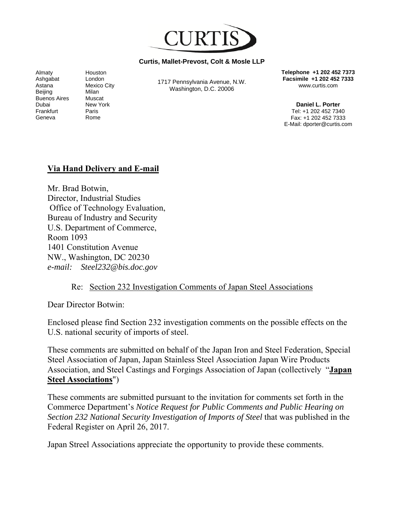

#### **Curtis, Mallet-Prevost, Colt & Mosle LLP**

Almaty Ashgabat Astana Beijing Buenos Aires Dubai Frankfurt Geneva

Houston London Mexico City Milan Muscat New York Paris Rome

1717 Pennsylvania Avenue, N.W. Washington, D.C. 20006

**Telephone +1 202 452 7373 Facsimile +1 202 452 7333**  www.curtis.com

**Daniel L. Porter** Tel: +1 202 452 7340 Fax: +1 202 452 7333 E-Mail: dporter@curtis.com

#### **Via Hand Delivery and E-mail**

Mr. Brad Botwin, Director, Industrial Studies Office of Technology Evaluation, Bureau of Industry and Security U.S. Department of Commerce, Room 1093 1401 Constitution Avenue NW., Washington, DC 20230 *e-mail: Steel232@bis.doc.gov* 

#### Re: Section 232 Investigation Comments of Japan Steel Associations

Dear Director Botwin:

Enclosed please find Section 232 investigation comments on the possible effects on the U.S. national security of imports of steel.

These comments are submitted on behalf of the Japan Iron and Steel Federation, Special Steel Association of Japan, Japan Stainless Steel Association Japan Wire Products Association, and Steel Castings and Forgings Association of Japan (collectively "**Japan Steel Associations**")

These comments are submitted pursuant to the invitation for comments set forth in the Commerce Department's *Notice Request for Public Comments and Public Hearing on Section 232 National Security Investigation of Imports of Steel* that was published in the Federal Register on April 26, 2017.

Japan Streel Associations appreciate the opportunity to provide these comments.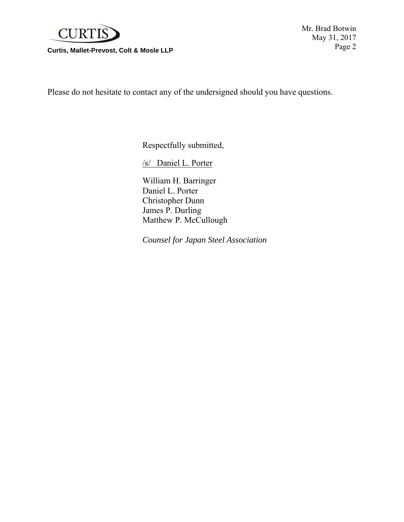

Page 2 **Curtis, Mallet-Prevost, Colt & Mosle LLP** 

Mr. Brad Botwin May 31, 2017

Please do not hesitate to contact any of the undersigned should you have questions.

Respectfully submitted,

/s/ Daniel L. Porter

 William H. Barringer Daniel L. Porter Christopher Dunn James P. Durling Matthew P. McCullough

 *Counsel for Japan Steel Association*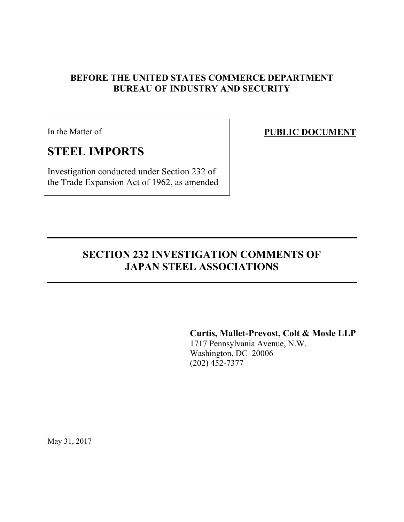## **BEFORE THE UNITED STATES COMMERCE DEPARTMENT BUREAU OF INDUSTRY AND SECURITY**

In the Matter of

# **STEEL IMPORTS**

Investigation conducted under Section 232 of the Trade Expansion Act of 1962, as amended **PUBLIC DOCUMENT** 

# **SECTION 232 INVESTIGATION COMMENTS OF JAPAN STEEL ASSOCIATIONS**

**Curtis, Mallet-Prevost, Colt & Mosle LLP** 

1717 Pennsylvania Avenue, N.W. Washington, DC 20006 (202) 452-7377

May 31, 2017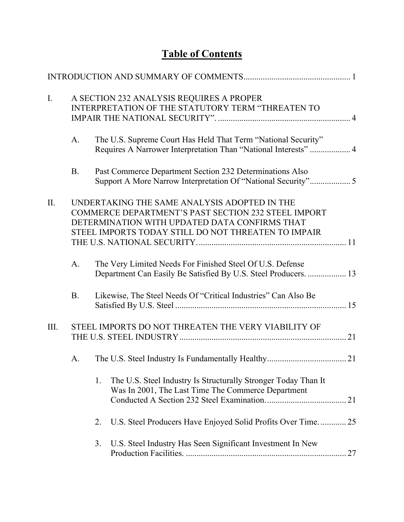# **Table of Contents**

| $\mathbf{I}$ . |             | A SECTION 232 ANALYSIS REQUIRES A PROPER<br>INTERPRETATION OF THE STATUTORY TERM "THREATEN TO                                                                                                                      |  |
|----------------|-------------|--------------------------------------------------------------------------------------------------------------------------------------------------------------------------------------------------------------------|--|
|                | $A_{\cdot}$ | The U.S. Supreme Court Has Held That Term "National Security"<br>Requires A Narrower Interpretation Than "National Interests"  4                                                                                   |  |
|                | <b>B.</b>   | Past Commerce Department Section 232 Determinations Also                                                                                                                                                           |  |
| Π.             |             | UNDERTAKING THE SAME ANALYSIS ADOPTED IN THE<br><b>COMMERCE DEPARTMENT'S PAST SECTION 232 STEEL IMPORT</b><br>DETERMINATION WITH UPDATED DATA CONFIRMS THAT<br>STEEL IMPORTS TODAY STILL DO NOT THREATEN TO IMPAIR |  |
|                | $A_{\cdot}$ | The Very Limited Needs For Finished Steel Of U.S. Defense<br>Department Can Easily Be Satisfied By U.S. Steel Producers.  13                                                                                       |  |
|                | <b>B.</b>   | Likewise, The Steel Needs Of "Critical Industries" Can Also Be                                                                                                                                                     |  |
| III.           |             | STEEL IMPORTS DO NOT THREATEN THE VERY VIABILITY OF                                                                                                                                                                |  |
|                | A.          |                                                                                                                                                                                                                    |  |
|                |             | The U.S. Steel Industry Is Structurally Stronger Today Than It<br>1.<br>Was In 2001, The Last Time The Commerce Department                                                                                         |  |
|                |             | U.S. Steel Producers Have Enjoyed Solid Profits Over Time 25<br>2.                                                                                                                                                 |  |
|                |             | U.S. Steel Industry Has Seen Significant Investment In New<br>3.                                                                                                                                                   |  |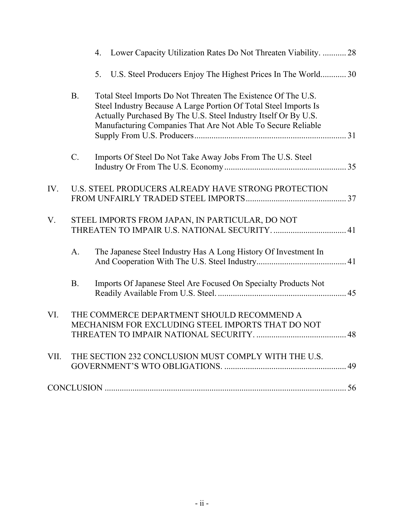|      |             | Lower Capacity Utilization Rates Do Not Threaten Viability.  28<br>4.                                                                                                                                                                                                |  |
|------|-------------|----------------------------------------------------------------------------------------------------------------------------------------------------------------------------------------------------------------------------------------------------------------------|--|
|      |             | 5. U.S. Steel Producers Enjoy The Highest Prices In The World 30                                                                                                                                                                                                     |  |
|      | <b>B.</b>   | Total Steel Imports Do Not Threaten The Existence Of The U.S.<br>Steel Industry Because A Large Portion Of Total Steel Imports Is<br>Actually Purchased By The U.S. Steel Industry Itself Or By U.S.<br>Manufacturing Companies That Are Not Able To Secure Reliable |  |
|      | $C$ .       | Imports Of Steel Do Not Take Away Jobs From The U.S. Steel                                                                                                                                                                                                           |  |
| IV.  |             | U.S. STEEL PRODUCERS ALREADY HAVE STRONG PROTECTION                                                                                                                                                                                                                  |  |
| V.   |             | STEEL IMPORTS FROM JAPAN, IN PARTICULAR, DO NOT                                                                                                                                                                                                                      |  |
|      | $A_{\cdot}$ | The Japanese Steel Industry Has A Long History Of Investment In                                                                                                                                                                                                      |  |
|      | <b>B.</b>   | Imports Of Japanese Steel Are Focused On Specialty Products Not                                                                                                                                                                                                      |  |
| VI.  |             | THE COMMERCE DEPARTMENT SHOULD RECOMMEND A<br>MECHANISM FOR EXCLUDING STEEL IMPORTS THAT DO NOT                                                                                                                                                                      |  |
| VII. |             | THE SECTION 232 CONCLUSION MUST COMPLY WITH THE U.S.                                                                                                                                                                                                                 |  |
|      |             |                                                                                                                                                                                                                                                                      |  |
|      |             |                                                                                                                                                                                                                                                                      |  |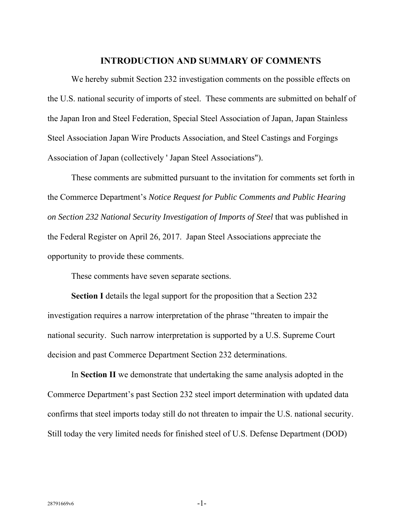#### **INTRODUCTION AND SUMMARY OF COMMENTS**

 We hereby submit Section 232 investigation comments on the possible effects on the U.S. national security of imports of steel. These comments are submitted on behalf of the Japan Iron and Steel Federation, Special Steel Association of Japan, Japan Stainless Steel Association Japan Wire Products Association, and Steel Castings and Forgings Association of Japan (collectively ' Japan Steel Associations").

 These comments are submitted pursuant to the invitation for comments set forth in the Commerce Department's *Notice Request for Public Comments and Public Hearing on Section 232 National Security Investigation of Imports of Steel* that was published in the Federal Register on April 26, 2017. Japan Steel Associations appreciate the opportunity to provide these comments.

These comments have seven separate sections.

**Section I** details the legal support for the proposition that a Section 232 investigation requires a narrow interpretation of the phrase "threaten to impair the national security. Such narrow interpretation is supported by a U.S. Supreme Court decision and past Commerce Department Section 232 determinations.

In **Section II** we demonstrate that undertaking the same analysis adopted in the Commerce Department's past Section 232 steel import determination with updated data confirms that steel imports today still do not threaten to impair the U.S. national security. Still today the very limited needs for finished steel of U.S. Defense Department (DOD)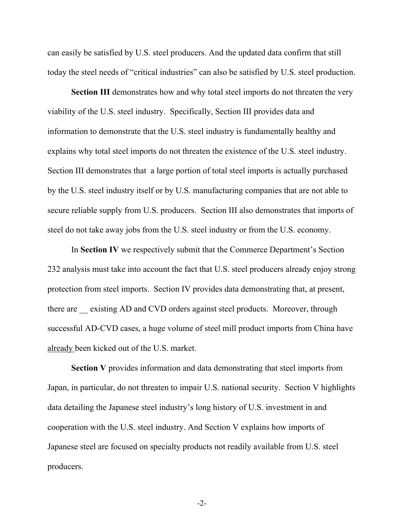can easily be satisfied by U.S. steel producers. And the updated data confirm that still today the steel needs of "critical industries" can also be satisfied by U.S. steel production.

**Section III** demonstrates how and why total steel imports do not threaten the very viability of the U.S. steel industry. Specifically, Section III provides data and information to demonstrate that the U.S. steel industry is fundamentally healthy and explains why total steel imports do not threaten the existence of the U.S. steel industry. Section III demonstrates that a large portion of total steel imports is actually purchased by the U.S. steel industry itself or by U.S. manufacturing companies that are not able to secure reliable supply from U.S. producers. Section III also demonstrates that imports of steel do not take away jobs from the U.S. steel industry or from the U.S. economy.

 In **Section IV** we respectively submit that the Commerce Department's Section 232 analysis must take into account the fact that U.S. steel producers already enjoy strong protection from steel imports. Section IV provides data demonstrating that, at present, there are existing AD and CVD orders against steel products. Moreover, through successful AD-CVD cases, a huge volume of steel mill product imports from China have already been kicked out of the U.S. market.

**Section V** provides information and data demonstrating that steel imports from Japan, in particular, do not threaten to impair U.S. national security. Section V highlights data detailing the Japanese steel industry's long history of U.S. investment in and cooperation with the U.S. steel industry. And Section V explains how imports of Japanese steel are focused on specialty products not readily available from U.S. steel producers.

-2-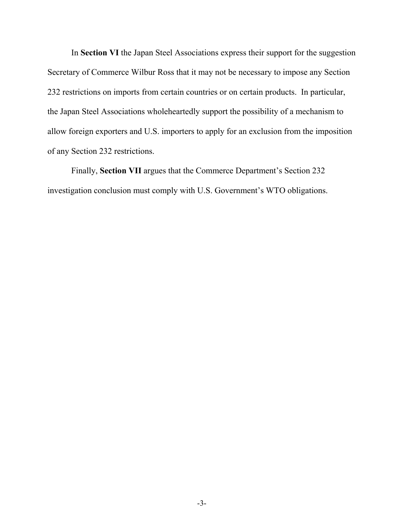In **Section VI** the Japan Steel Associations express their support for the suggestion Secretary of Commerce Wilbur Ross that it may not be necessary to impose any Section 232 restrictions on imports from certain countries or on certain products. In particular, the Japan Steel Associations wholeheartedly support the possibility of a mechanism to allow foreign exporters and U.S. importers to apply for an exclusion from the imposition of any Section 232 restrictions.

 Finally, **Section VII** argues that the Commerce Department's Section 232 investigation conclusion must comply with U.S. Government's WTO obligations.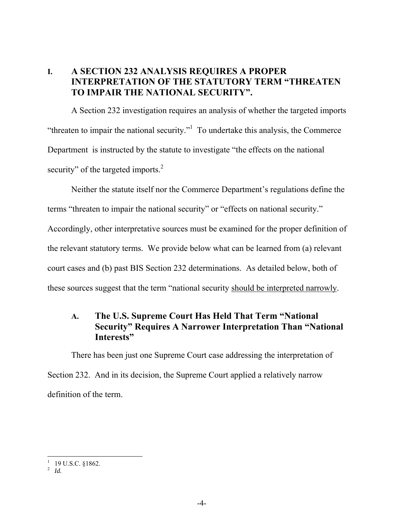## **I. A SECTION 232 ANALYSIS REQUIRES A PROPER INTERPRETATION OF THE STATUTORY TERM "THREATEN TO IMPAIR THE NATIONAL SECURITY".**

A Section 232 investigation requires an analysis of whether the targeted imports "threaten to impair the national security." $\frac{1}{1}$  To undertake this analysis, the Commerce Department is instructed by the statute to investigate "the effects on the national security" of the targeted imports. $2$ 

Neither the statute itself nor the Commerce Department's regulations define the terms "threaten to impair the national security" or "effects on national security." Accordingly, other interpretative sources must be examined for the proper definition of the relevant statutory terms. We provide below what can be learned from (a) relevant court cases and (b) past BIS Section 232 determinations. As detailed below, both of these sources suggest that the term "national security should be interpreted narrowly.

## **A. The U.S. Supreme Court Has Held That Term "National Security" Requires A Narrower Interpretation Than "National Interests"**

There has been just one Supreme Court case addressing the interpretation of Section 232. And in its decision, the Supreme Court applied a relatively narrow definition of the term.

 1 19 U.S.C. §1862. 2 *Id.*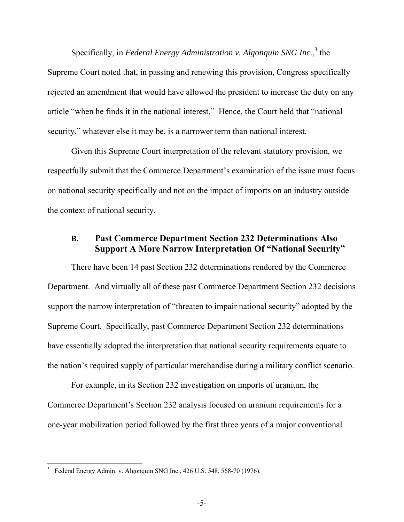Specifically, in *Federal Energy Administration v. Algonquin SNG Inc.*,<sup>3</sup> the Supreme Court noted that, in passing and renewing this provision, Congress specifically rejected an amendment that would have allowed the president to increase the duty on any article "when he finds it in the national interest." Hence, the Court held that "national security," whatever else it may be, is a narrower term than national interest.

Given this Supreme Court interpretation of the relevant statutory provision, we respectfully submit that the Commerce Department's examination of the issue must focus on national security specifically and not on the impact of imports on an industry outside the context of national security.

## **B. Past Commerce Department Section 232 Determinations Also Support A More Narrow Interpretation Of "National Security"**

There have been 14 past Section 232 determinations rendered by the Commerce Department. And virtually all of these past Commerce Department Section 232 decisions support the narrow interpretation of "threaten to impair national security" adopted by the Supreme Court. Specifically, past Commerce Department Section 232 determinations have essentially adopted the interpretation that national security requirements equate to the nation's required supply of particular merchandise during a military conflict scenario.

For example, in its Section 232 investigation on imports of uranium, the Commerce Department's Section 232 analysis focused on uranium requirements for a one-year mobilization period followed by the first three years of a major conventional

<sup>3</sup> Federal Energy Admin. v. Algonquin SNG Inc., 426 U.S. 548, 568-70 (1976).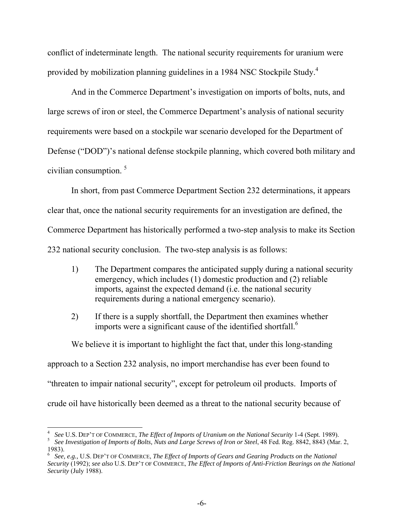conflict of indeterminate length. The national security requirements for uranium were provided by mobilization planning guidelines in a 1984 NSC Stockpile Study.<sup>4</sup>

And in the Commerce Department's investigation on imports of bolts, nuts, and large screws of iron or steel, the Commerce Department's analysis of national security requirements were based on a stockpile war scenario developed for the Department of Defense ("DOD")'s national defense stockpile planning, which covered both military and civilian consumption.<sup>5</sup>

In short, from past Commerce Department Section 232 determinations, it appears clear that, once the national security requirements for an investigation are defined, the Commerce Department has historically performed a two-step analysis to make its Section 232 national security conclusion. The two-step analysis is as follows:

- 1) The Department compares the anticipated supply during a national security emergency, which includes (1) domestic production and (2) reliable imports, against the expected demand (i.e. the national security requirements during a national emergency scenario).
- 2) If there is a supply shortfall, the Department then examines whether imports were a significant cause of the identified shortfall.<sup>6</sup>

We believe it is important to highlight the fact that, under this long-standing approach to a Section 232 analysis, no import merchandise has ever been found to "threaten to impair national security", except for petroleum oil products. Imports of crude oil have historically been deemed as a threat to the national security because of

<sup>4</sup> *See* U.S. DEP'T OF COMMERCE, *The Effect of Imports of Uranium on the National Security* 1-4 (Sept. 1989).

<sup>&</sup>lt;sup>5</sup> See Investigation of Imports of Bolts, Nuts and Large Screws of Iron or Steel, 48 Fed. Reg. 8842, 8843 (Mar. 2, 1983).

<sup>6</sup> *See, e.g.,* U.S. DEP'T OF COMMERCE, *The Effect of Imports of Gears and Gearing Products on the National Security* (1992); *see also* U.S. DEP'T OF COMMERCE, *The Effect of Imports of Anti-Friction Bearings on the National Security* (July 1988).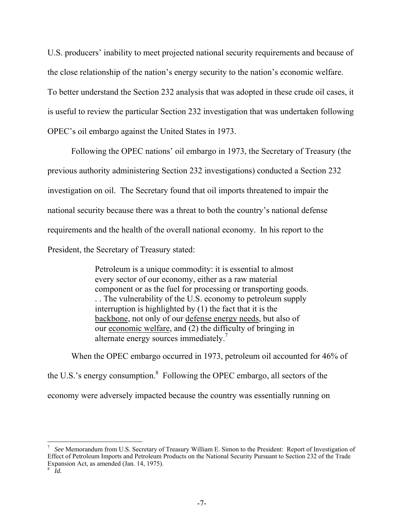U.S. producers' inability to meet projected national security requirements and because of the close relationship of the nation's energy security to the nation's economic welfare. To better understand the Section 232 analysis that was adopted in these crude oil cases, it is useful to review the particular Section 232 investigation that was undertaken following OPEC's oil embargo against the United States in 1973.

Following the OPEC nations' oil embargo in 1973, the Secretary of Treasury (the previous authority administering Section 232 investigations) conducted a Section 232 investigation on oil. The Secretary found that oil imports threatened to impair the national security because there was a threat to both the country's national defense requirements and the health of the overall national economy. In his report to the President, the Secretary of Treasury stated:

> Petroleum is a unique commodity: it is essential to almost every sector of our economy, either as a raw material component or as the fuel for processing or transporting goods. . . The vulnerability of the U.S. economy to petroleum supply interruption is highlighted by (1) the fact that it is the backbone, not only of our defense energy needs, but also of our economic welfare, and (2) the difficulty of bringing in alternate energy sources immediately. $\frac{7}{1}$

When the OPEC embargo occurred in 1973, petroleum oil accounted for 46% of the U.S.'s energy consumption. $8$  Following the OPEC embargo, all sectors of the economy were adversely impacted because the country was essentially running on

<sup>7</sup> *See* Memorandum from U.S. Secretary of Treasury William E. Simon to the President: Report of Investigation of Effect of Petroleum Imports and Petroleum Products on the National Security Pursuant to Section 232 of the Trade Expansion Act, as amended (Jan. 14, 1975).

<sup>8</sup> *Id.*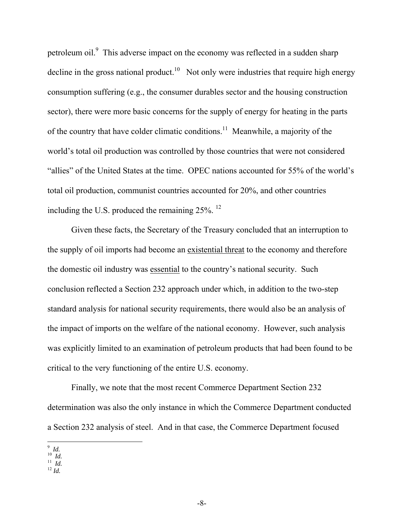petroleum oil.<sup>9</sup> This adverse impact on the economy was reflected in a sudden sharp decline in the gross national product.<sup>10</sup> Not only were industries that require high energy consumption suffering (e.g., the consumer durables sector and the housing construction sector), there were more basic concerns for the supply of energy for heating in the parts of the country that have colder climatic conditions.<sup>11</sup> Meanwhile, a majority of the world's total oil production was controlled by those countries that were not considered "allies" of the United States at the time. OPEC nations accounted for 55% of the world's total oil production, communist countries accounted for 20%, and other countries including the U.S. produced the remaining 25%. 12

Given these facts, the Secretary of the Treasury concluded that an interruption to the supply of oil imports had become an existential threat to the economy and therefore the domestic oil industry was essential to the country's national security. Such conclusion reflected a Section 232 approach under which, in addition to the two-step standard analysis for national security requirements, there would also be an analysis of the impact of imports on the welfare of the national economy. However, such analysis was explicitly limited to an examination of petroleum products that had been found to be critical to the very functioning of the entire U.S. economy.

Finally, we note that the most recent Commerce Department Section 232 determination was also the only instance in which the Commerce Department conducted a Section 232 analysis of steel. And in that case, the Commerce Department focused

 9 *Id.* 10 *Id.* 11 *Id.* 12 *Id.*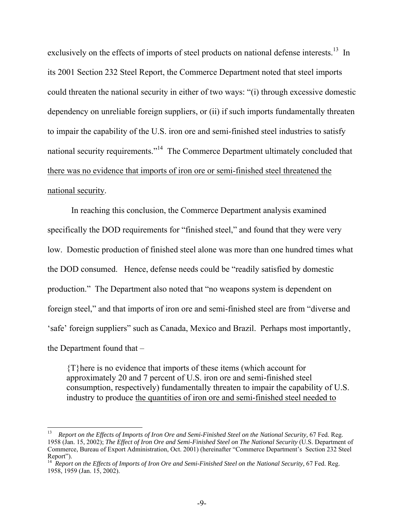exclusively on the effects of imports of steel products on national defense interests.<sup>13</sup> In its 2001 Section 232 Steel Report, the Commerce Department noted that steel imports could threaten the national security in either of two ways: "(i) through excessive domestic dependency on unreliable foreign suppliers, or (ii) if such imports fundamentally threaten to impair the capability of the U.S. iron ore and semi-finished steel industries to satisfy national security requirements."<sup>14</sup> The Commerce Department ultimately concluded that there was no evidence that imports of iron ore or semi-finished steel threatened the national security.

In reaching this conclusion, the Commerce Department analysis examined specifically the DOD requirements for "finished steel," and found that they were very low. Domestic production of finished steel alone was more than one hundred times what the DOD consumed. Hence, defense needs could be "readily satisfied by domestic production." The Department also noted that "no weapons system is dependent on foreign steel," and that imports of iron ore and semi-finished steel are from "diverse and 'safe' foreign suppliers" such as Canada, Mexico and Brazil. Perhaps most importantly, the Department found that –

{T}here is no evidence that imports of these items (which account for approximately 20 and 7 percent of U.S. iron ore and semi-finished steel consumption, respectively) fundamentally threaten to impair the capability of U.S. industry to produce the quantities of iron ore and semi-finished steel needed to

<sup>13</sup> *Report on the Effects of Imports of Iron Ore and Semi-Finished Steel on the National Security,* 67 Fed. Reg. 1958 (Jan. 15, 2002); *The Effect of Iron Ore and Semi-Finished Steel on The National Security* (U.S. Department of Commerce, Bureau of Export Administration, Oct. 2001) (hereinafter "Commerce Department's Section 232 Steel Report").

<sup>14</sup> *Report on the Effects of Imports of Iron Ore and Semi-Finished Steel on the National Security,* 67 Fed. Reg. 1958, 1959 (Jan. 15, 2002).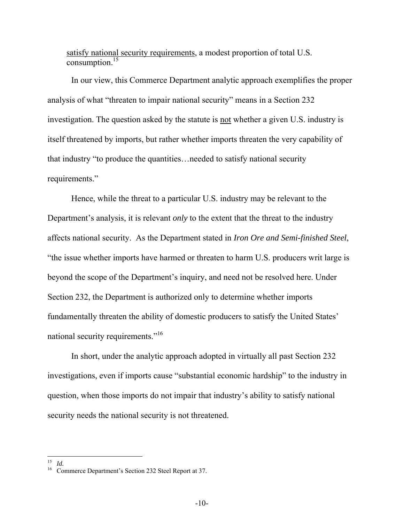satisfy national security requirements, a modest proportion of total U.S. consumption.15

In our view, this Commerce Department analytic approach exemplifies the proper analysis of what "threaten to impair national security" means in a Section 232 investigation. The question asked by the statute is not whether a given U.S. industry is itself threatened by imports, but rather whether imports threaten the very capability of that industry "to produce the quantities…needed to satisfy national security requirements."

Hence, while the threat to a particular U.S. industry may be relevant to the Department's analysis, it is relevant *only* to the extent that the threat to the industry affects national security. As the Department stated in *Iron Ore and Semi-finished Steel*, "the issue whether imports have harmed or threaten to harm U.S. producers writ large is beyond the scope of the Department's inquiry, and need not be resolved here. Under Section 232, the Department is authorized only to determine whether imports fundamentally threaten the ability of domestic producers to satisfy the United States' national security requirements."16

In short, under the analytic approach adopted in virtually all past Section 232 investigations, even if imports cause "substantial economic hardship" to the industry in question, when those imports do not impair that industry's ability to satisfy national security needs the national security is not threatened.

 $\overline{a}$ 15 *Id.*

<sup>16</sup> Commerce Department's Section 232 Steel Report at 37.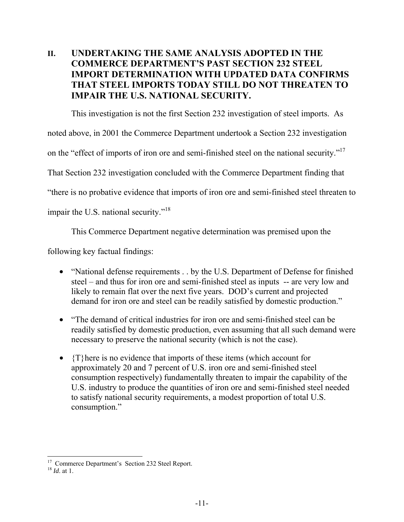# **II. UNDERTAKING THE SAME ANALYSIS ADOPTED IN THE COMMERCE DEPARTMENT'S PAST SECTION 232 STEEL IMPORT DETERMINATION WITH UPDATED DATA CONFIRMS THAT STEEL IMPORTS TODAY STILL DO NOT THREATEN TO IMPAIR THE U.S. NATIONAL SECURITY.**

This investigation is not the first Section 232 investigation of steel imports. As

noted above, in 2001 the Commerce Department undertook a Section 232 investigation

on the "effect of imports of iron ore and semi-finished steel on the national security."<sup>17</sup>

That Section 232 investigation concluded with the Commerce Department finding that

"there is no probative evidence that imports of iron ore and semi-finished steel threaten to

impair the U.S. national security."<sup>18</sup>

This Commerce Department negative determination was premised upon the

following key factual findings:

- "National defense requirements . . by the U.S. Department of Defense for finished steel – and thus for iron ore and semi-finished steel as inputs -- are very low and likely to remain flat over the next five years. DOD's current and projected demand for iron ore and steel can be readily satisfied by domestic production."
- "The demand of critical industries for iron ore and semi-finished steel can be readily satisfied by domestic production, even assuming that all such demand were necessary to preserve the national security (which is not the case).
- $\{T\}$ here is no evidence that imports of these items (which account for approximately 20 and 7 percent of U.S. iron ore and semi-finished steel consumption respectively) fundamentally threaten to impair the capability of the U.S. industry to produce the quantities of iron ore and semi-finished steel needed to satisfy national security requirements, a modest proportion of total U.S. consumption."

 $\overline{a}$ <sup>17</sup> Commerce Department's Section 232 Steel Report.

<sup>18</sup> *Id*. at 1.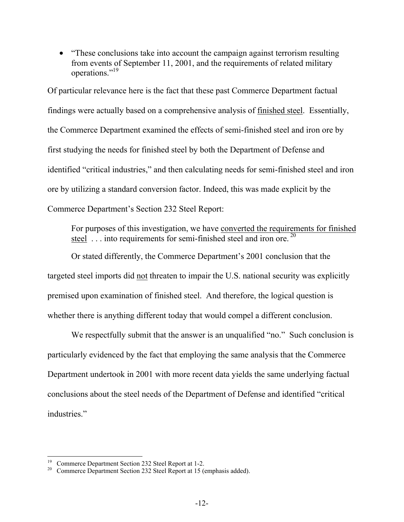• "These conclusions take into account the campaign against terrorism resulting from events of September 11, 2001, and the requirements of related military operations."19

Of particular relevance here is the fact that these past Commerce Department factual findings were actually based on a comprehensive analysis of finished steel. Essentially, the Commerce Department examined the effects of semi-finished steel and iron ore by first studying the needs for finished steel by both the Department of Defense and identified "critical industries," and then calculating needs for semi-finished steel and iron ore by utilizing a standard conversion factor. Indeed, this was made explicit by the Commerce Department's Section 232 Steel Report:

For purposes of this investigation, we have converted the requirements for finished steel  $\dots$  into requirements for semi-finished steel and iron ore.<sup>20</sup>

Or stated differently, the Commerce Department's 2001 conclusion that the targeted steel imports did not threaten to impair the U.S. national security was explicitly premised upon examination of finished steel. And therefore, the logical question is whether there is anything different today that would compel a different conclusion.

We respectfully submit that the answer is an unqualified "no." Such conclusion is particularly evidenced by the fact that employing the same analysis that the Commerce Department undertook in 2001 with more recent data yields the same underlying factual conclusions about the steel needs of the Department of Defense and identified "critical industries."

 $\overline{a}$ <sup>19</sup> Commerce Department Section 232 Steel Report at 1-2.<br><sup>20</sup> Commerce Department Section 232 Steel Report at 15 (e.

Commerce Department Section 232 Steel Report at 15 (emphasis added).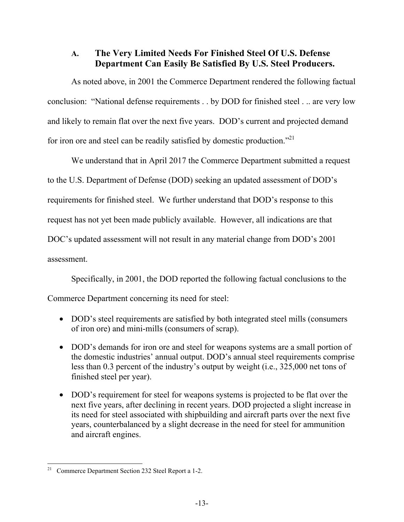# **A. The Very Limited Needs For Finished Steel Of U.S. Defense Department Can Easily Be Satisfied By U.S. Steel Producers.**

As noted above, in 2001 the Commerce Department rendered the following factual conclusion: "National defense requirements . . by DOD for finished steel . .. are very low and likely to remain flat over the next five years. DOD's current and projected demand for iron ore and steel can be readily satisfied by domestic production."<sup>21</sup>

We understand that in April 2017 the Commerce Department submitted a request to the U.S. Department of Defense (DOD) seeking an updated assessment of DOD's requirements for finished steel. We further understand that DOD's response to this request has not yet been made publicly available. However, all indications are that DOC's updated assessment will not result in any material change from DOD's 2001 assessment.

Specifically, in 2001, the DOD reported the following factual conclusions to the Commerce Department concerning its need for steel:

- DOD's steel requirements are satisfied by both integrated steel mills (consumers of iron ore) and mini-mills (consumers of scrap).
- DOD's demands for iron ore and steel for weapons systems are a small portion of the domestic industries' annual output. DOD's annual steel requirements comprise less than 0.3 percent of the industry's output by weight (i.e., 325,000 net tons of finished steel per year).
- DOD's requirement for steel for weapons systems is projected to be flat over the next five years, after declining in recent years. DOD projected a slight increase in its need for steel associated with shipbuilding and aircraft parts over the next five years, counterbalanced by a slight decrease in the need for steel for ammunition and aircraft engines.

 $21$ 21 Commerce Department Section 232 Steel Report a 1-2.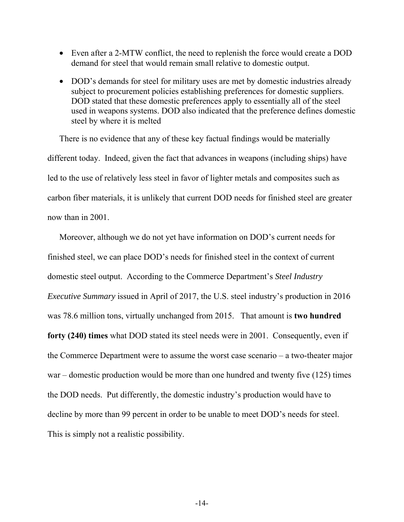- Even after a 2-MTW conflict, the need to replenish the force would create a DOD demand for steel that would remain small relative to domestic output.
- DOD's demands for steel for military uses are met by domestic industries already subject to procurement policies establishing preferences for domestic suppliers. DOD stated that these domestic preferences apply to essentially all of the steel used in weapons systems. DOD also indicated that the preference defines domestic steel by where it is melted

There is no evidence that any of these key factual findings would be materially different today. Indeed, given the fact that advances in weapons (including ships) have led to the use of relatively less steel in favor of lighter metals and composites such as carbon fiber materials, it is unlikely that current DOD needs for finished steel are greater now than in 2001.

Moreover, although we do not yet have information on DOD's current needs for finished steel, we can place DOD's needs for finished steel in the context of current domestic steel output. According to the Commerce Department's *Steel Industry Executive Summary* issued in April of 2017, the U.S. steel industry's production in 2016 was 78.6 million tons, virtually unchanged from 2015. That amount is **two hundred forty (240) times** what DOD stated its steel needs were in 2001. Consequently, even if the Commerce Department were to assume the worst case scenario – a two-theater major war – domestic production would be more than one hundred and twenty five (125) times the DOD needs. Put differently, the domestic industry's production would have to decline by more than 99 percent in order to be unable to meet DOD's needs for steel. This is simply not a realistic possibility.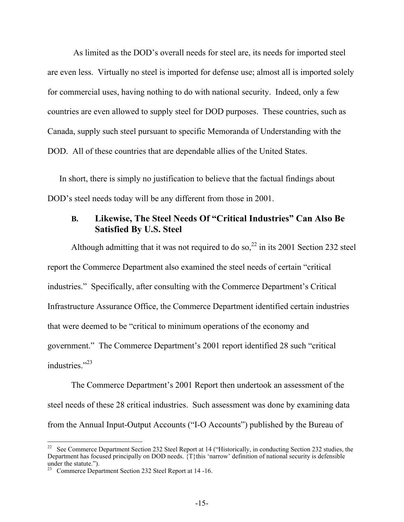As limited as the DOD's overall needs for steel are, its needs for imported steel are even less. Virtually no steel is imported for defense use; almost all is imported solely for commercial uses, having nothing to do with national security. Indeed, only a few countries are even allowed to supply steel for DOD purposes. These countries, such as Canada, supply such steel pursuant to specific Memoranda of Understanding with the DOD. All of these countries that are dependable allies of the United States.

In short, there is simply no justification to believe that the factual findings about DOD's steel needs today will be any different from those in 2001.

## **B. Likewise, The Steel Needs Of "Critical Industries" Can Also Be Satisfied By U.S. Steel**

Although admitting that it was not required to do so,<sup>22</sup> in its 2001 Section 232 steel report the Commerce Department also examined the steel needs of certain "critical industries." Specifically, after consulting with the Commerce Department's Critical Infrastructure Assurance Office, the Commerce Department identified certain industries that were deemed to be "critical to minimum operations of the economy and government." The Commerce Department's 2001 report identified 28 such "critical industries."<sup>23</sup>

 The Commerce Department's 2001 Report then undertook an assessment of the steel needs of these 28 critical industries. Such assessment was done by examining data from the Annual Input-Output Accounts ("I-O Accounts") published by the Bureau of

<sup>22</sup> See Commerce Department Section 232 Steel Report at 14 ("Historically, in conducting Section 232 studies, the Department has focused principally on DOD needs.  $\{T\}$ this 'narrow' definition of national security is defensible under the statute.").

<sup>&</sup>lt;sup>23</sup> Commerce Department Section 232 Steel Report at 14 -16.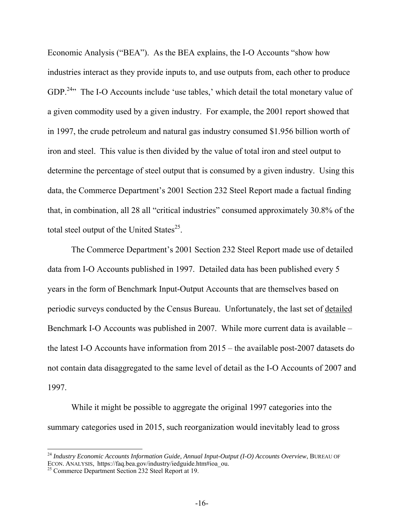Economic Analysis ("BEA"). As the BEA explains, the I-O Accounts "show how industries interact as they provide inputs to, and use outputs from, each other to produce GDP.<sup>24</sup>" The I-O Accounts include 'use tables,' which detail the total monetary value of a given commodity used by a given industry. For example, the 2001 report showed that in 1997, the crude petroleum and natural gas industry consumed \$1.956 billion worth of iron and steel. This value is then divided by the value of total iron and steel output to determine the percentage of steel output that is consumed by a given industry. Using this data, the Commerce Department's 2001 Section 232 Steel Report made a factual finding that, in combination, all 28 all "critical industries" consumed approximately 30.8% of the total steel output of the United States<sup>25</sup>.

The Commerce Department's 2001 Section 232 Steel Report made use of detailed data from I-O Accounts published in 1997. Detailed data has been published every 5 years in the form of Benchmark Input-Output Accounts that are themselves based on periodic surveys conducted by the Census Bureau. Unfortunately, the last set of detailed Benchmark I-O Accounts was published in 2007. While more current data is available – the latest I-O Accounts have information from 2015 – the available post-2007 datasets do not contain data disaggregated to the same level of detail as the I-O Accounts of 2007 and 1997.

While it might be possible to aggregate the original 1997 categories into the summary categories used in 2015, such reorganization would inevitably lead to gross

<sup>24</sup> *Industry Economic Accounts Information Guide, Annual Input-Output (I-O) Accounts Overview*, BUREAU OF ECON. ANALYSIS, https://faq.bea.gov/industry/iedguide.htm#ioa\_ou. 25 Commerce Department Section 232 Steel Report at 19.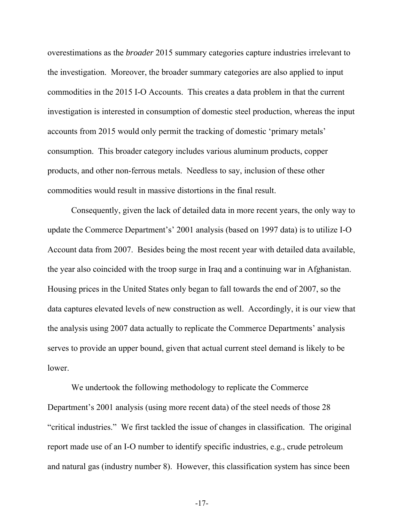overestimations as the *broader* 2015 summary categories capture industries irrelevant to the investigation. Moreover, the broader summary categories are also applied to input commodities in the 2015 I-O Accounts. This creates a data problem in that the current investigation is interested in consumption of domestic steel production, whereas the input accounts from 2015 would only permit the tracking of domestic 'primary metals' consumption. This broader category includes various aluminum products, copper products, and other non-ferrous metals. Needless to say, inclusion of these other commodities would result in massive distortions in the final result.

Consequently, given the lack of detailed data in more recent years, the only way to update the Commerce Department's' 2001 analysis (based on 1997 data) is to utilize I-O Account data from 2007. Besides being the most recent year with detailed data available, the year also coincided with the troop surge in Iraq and a continuing war in Afghanistan. Housing prices in the United States only began to fall towards the end of 2007, so the data captures elevated levels of new construction as well. Accordingly, it is our view that the analysis using 2007 data actually to replicate the Commerce Departments' analysis serves to provide an upper bound, given that actual current steel demand is likely to be lower.

We undertook the following methodology to replicate the Commerce Department's 2001 analysis (using more recent data) of the steel needs of those 28 "critical industries." We first tackled the issue of changes in classification. The original report made use of an I-O number to identify specific industries, e.g., crude petroleum and natural gas (industry number 8). However, this classification system has since been

-17-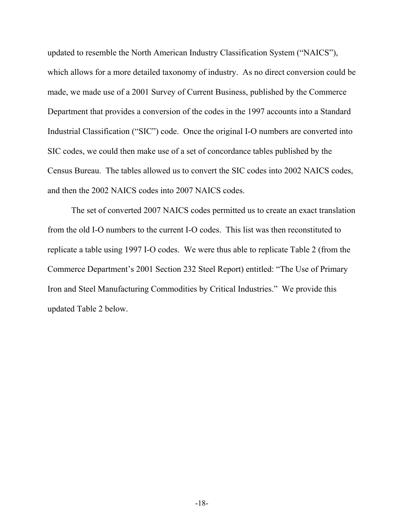updated to resemble the North American Industry Classification System ("NAICS"), which allows for a more detailed taxonomy of industry. As no direct conversion could be made, we made use of a 2001 Survey of Current Business, published by the Commerce Department that provides a conversion of the codes in the 1997 accounts into a Standard Industrial Classification ("SIC") code. Once the original I-O numbers are converted into SIC codes, we could then make use of a set of concordance tables published by the Census Bureau. The tables allowed us to convert the SIC codes into 2002 NAICS codes, and then the 2002 NAICS codes into 2007 NAICS codes.

The set of converted 2007 NAICS codes permitted us to create an exact translation from the old I-O numbers to the current I-O codes. This list was then reconstituted to replicate a table using 1997 I-O codes. We were thus able to replicate Table 2 (from the Commerce Department's 2001 Section 232 Steel Report) entitled: "The Use of Primary Iron and Steel Manufacturing Commodities by Critical Industries." We provide this updated Table 2 below.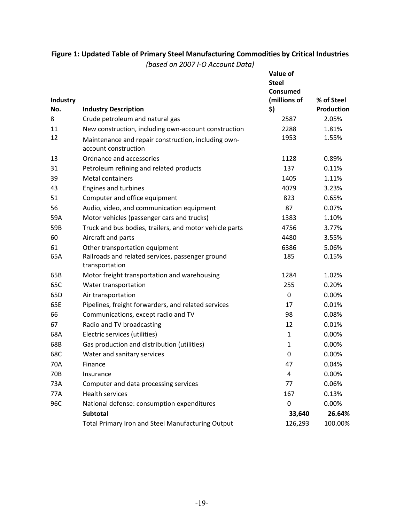## **Figure 1: Updated Table of Primary Steel Manufacturing Commodities by Critical Industries**

*(based on 2007 I-O Account Data)* 

| Industry<br>No. | <b>Industry Description</b>                                                 | Value of<br><b>Steel</b><br>Consumed<br>(millions of<br>\$) | % of Steel<br><b>Production</b> |
|-----------------|-----------------------------------------------------------------------------|-------------------------------------------------------------|---------------------------------|
| 8               | Crude petroleum and natural gas                                             | 2587                                                        | 2.05%                           |
| 11              | New construction, including own-account construction                        | 2288                                                        | 1.81%                           |
| 12              | Maintenance and repair construction, including own-<br>account construction | 1953                                                        | 1.55%                           |
| 13              | Ordnance and accessories                                                    | 1128                                                        | 0.89%                           |
| 31              | Petroleum refining and related products                                     | 137                                                         | 0.11%                           |
| 39              | <b>Metal containers</b>                                                     | 1405                                                        | 1.11%                           |
| 43              | Engines and turbines                                                        | 4079                                                        | 3.23%                           |
| 51              | Computer and office equipment                                               | 823                                                         | 0.65%                           |
| 56              | Audio, video, and communication equipment                                   | 87                                                          | 0.07%                           |
| 59A             | Motor vehicles (passenger cars and trucks)                                  | 1383                                                        | 1.10%                           |
| 59B             | Truck and bus bodies, trailers, and motor vehicle parts                     | 4756                                                        | 3.77%                           |
| 60              | Aircraft and parts                                                          | 4480                                                        | 3.55%                           |
| 61              | Other transportation equipment                                              | 6386                                                        | 5.06%                           |
| 65A             | Railroads and related services, passenger ground<br>transportation          | 185                                                         | 0.15%                           |
| 65B             | Motor freight transportation and warehousing                                | 1284                                                        | 1.02%                           |
| 65C             | Water transportation                                                        | 255                                                         | 0.20%                           |
| 65D             | Air transportation                                                          | $\mathbf 0$                                                 | 0.00%                           |
| 65E             | Pipelines, freight forwarders, and related services                         | 17                                                          | 0.01%                           |
| 66              | Communications, except radio and TV                                         | 98                                                          | 0.08%                           |
| 67              | Radio and TV broadcasting                                                   | 12                                                          | 0.01%                           |
| 68A             | Electric services (utilities)                                               | $\mathbf{1}$                                                | 0.00%                           |
| 68B             | Gas production and distribution (utilities)                                 | $\mathbf{1}$                                                | 0.00%                           |
| 68C             | Water and sanitary services                                                 | $\mathbf 0$                                                 | 0.00%                           |
| 70A             | Finance                                                                     | 47                                                          | 0.04%                           |
| 70B             | Insurance                                                                   | 4                                                           | 0.00%                           |
| 73A             | Computer and data processing services                                       | 77                                                          | 0.06%                           |
| 77A             | <b>Health services</b>                                                      | 167                                                         | 0.13%                           |
| 96C             | National defense: consumption expenditures                                  | 0                                                           | 0.00%                           |
|                 | Subtotal                                                                    | 33,640                                                      | 26.64%                          |
|                 | Total Primary Iron and Steel Manufacturing Output                           | 126,293                                                     | 100.00%                         |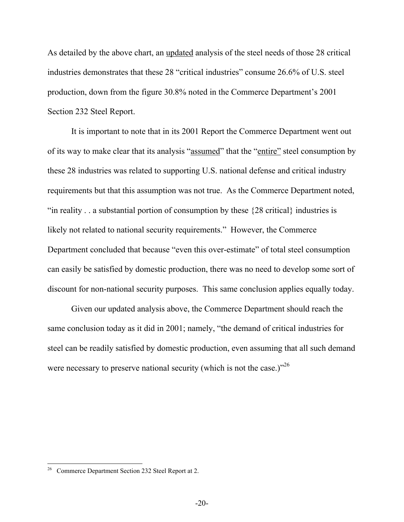As detailed by the above chart, an updated analysis of the steel needs of those 28 critical industries demonstrates that these 28 "critical industries" consume 26.6% of U.S. steel production, down from the figure 30.8% noted in the Commerce Department's 2001 Section 232 Steel Report.

It is important to note that in its 2001 Report the Commerce Department went out of its way to make clear that its analysis "assumed" that the "entire" steel consumption by these 28 industries was related to supporting U.S. national defense and critical industry requirements but that this assumption was not true. As the Commerce Department noted, "in reality . . a substantial portion of consumption by these {28 critical} industries is likely not related to national security requirements." However, the Commerce Department concluded that because "even this over-estimate" of total steel consumption can easily be satisfied by domestic production, there was no need to develop some sort of discount for non-national security purposes. This same conclusion applies equally today.

Given our updated analysis above, the Commerce Department should reach the same conclusion today as it did in 2001; namely, "the demand of critical industries for steel can be readily satisfied by domestic production, even assuming that all such demand were necessary to preserve national security (which is not the case.) $1^{26}$ 

 $26\,$ 26 Commerce Department Section 232 Steel Report at 2.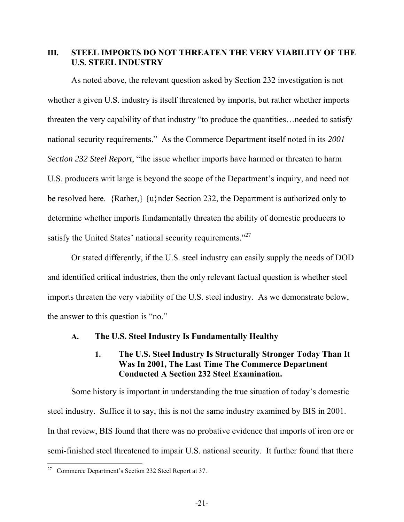## **III. STEEL IMPORTS DO NOT THREATEN THE VERY VIABILITY OF THE U.S. STEEL INDUSTRY**

As noted above, the relevant question asked by Section 232 investigation is not whether a given U.S. industry is itself threatened by imports, but rather whether imports threaten the very capability of that industry "to produce the quantities…needed to satisfy national security requirements." As the Commerce Department itself noted in its *2001 Section 232 Steel Report*, "the issue whether imports have harmed or threaten to harm U.S. producers writ large is beyond the scope of the Department's inquiry, and need not be resolved here. {Rather,} {u}nder Section 232, the Department is authorized only to determine whether imports fundamentally threaten the ability of domestic producers to satisfy the United States' national security requirements."<sup>27</sup>

 Or stated differently, if the U.S. steel industry can easily supply the needs of DOD and identified critical industries, then the only relevant factual question is whether steel imports threaten the very viability of the U.S. steel industry. As we demonstrate below, the answer to this question is "no."

#### **A. The U.S. Steel Industry Is Fundamentally Healthy**

### **1. The U.S. Steel Industry Is Structurally Stronger Today Than It Was In 2001, The Last Time The Commerce Department Conducted A Section 232 Steel Examination.**

Some history is important in understanding the true situation of today's domestic steel industry. Suffice it to say, this is not the same industry examined by BIS in 2001. In that review, BIS found that there was no probative evidence that imports of iron ore or semi-finished steel threatened to impair U.S. national security. It further found that there

 $\overline{a}$ <sup>27</sup> Commerce Department's Section 232 Steel Report at 37.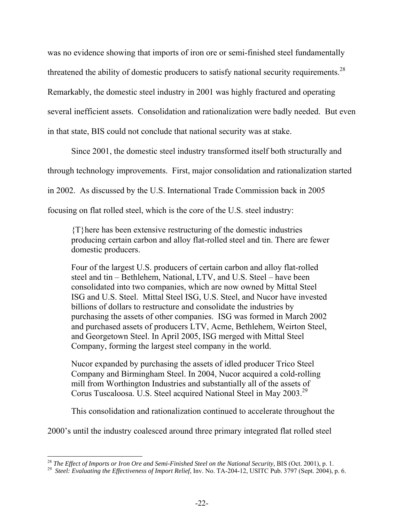was no evidence showing that imports of iron ore or semi-finished steel fundamentally threatened the ability of domestic producers to satisfy national security requirements.<sup>28</sup> Remarkably, the domestic steel industry in 2001 was highly fractured and operating several inefficient assets. Consolidation and rationalization were badly needed. But even in that state, BIS could not conclude that national security was at stake.

Since 2001, the domestic steel industry transformed itself both structurally and

through technology improvements. First, major consolidation and rationalization started

in 2002. As discussed by the U.S. International Trade Commission back in 2005

focusing on flat rolled steel, which is the core of the U.S. steel industry:

{T}here has been extensive restructuring of the domestic industries producing certain carbon and alloy flat-rolled steel and tin. There are fewer domestic producers.

Four of the largest U.S. producers of certain carbon and alloy flat-rolled steel and tin – Bethlehem, National, LTV, and U.S. Steel – have been consolidated into two companies, which are now owned by Mittal Steel ISG and U.S. Steel. Mittal Steel ISG, U.S. Steel, and Nucor have invested billions of dollars to restructure and consolidate the industries by purchasing the assets of other companies. ISG was formed in March 2002 and purchased assets of producers LTV, Acme, Bethlehem, Weirton Steel, and Georgetown Steel. In April 2005, ISG merged with Mittal Steel Company, forming the largest steel company in the world.

Nucor expanded by purchasing the assets of idled producer Trico Steel Company and Birmingham Steel. In 2004, Nucor acquired a cold-rolling mill from Worthington Industries and substantially all of the assets of Corus Tuscaloosa. U.S. Steel acquired National Steel in May 2003.29

This consolidation and rationalization continued to accelerate throughout the

2000's until the industry coalesced around three primary integrated flat rolled steel

<sup>&</sup>lt;sup>28</sup> The Effect of Imports or Iron Ore and Semi-Finished Steel on the National Security, BIS (Oct. 2001), p. 1.

<sup>&</sup>lt;sup>29</sup> Steel: Evaluating the Effectiveness of Import Relief, Inv. No. TA-204-12, USITC Pub. 3797 (Sept. 2004), p. 6.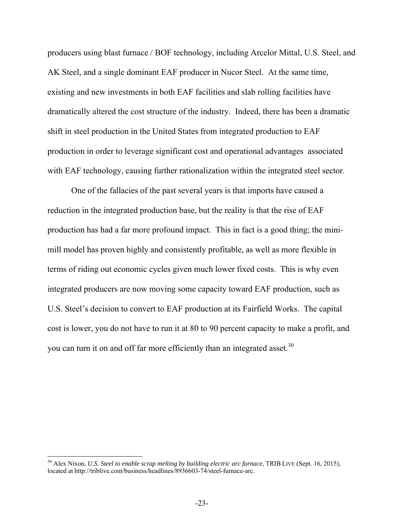producers using blast furnace / BOF technology, including Arcelor Mittal, U.S. Steel, and AK Steel, and a single dominant EAF producer in Nucor Steel. At the same time, existing and new investments in both EAF facilities and slab rolling facilities have dramatically altered the cost structure of the industry. Indeed, there has been a dramatic shift in steel production in the United States from integrated production to EAF production in order to leverage significant cost and operational advantages associated with EAF technology, causing further rationalization within the integrated steel sector.

One of the fallacies of the past several years is that imports have caused a reduction in the integrated production base, but the reality is that the rise of EAF production has had a far more profound impact. This in fact is a good thing; the minimill model has proven highly and consistently profitable, as well as more flexible in terms of riding out economic cycles given much lower fixed costs. This is why even integrated producers are now moving some capacity toward EAF production, such as U.S. Steel's decision to convert to EAF production at its Fairfield Works. The capital cost is lower, you do not have to run it at 80 to 90 percent capacity to make a profit, and you can turn it on and off far more efficiently than an integrated asset.<sup>30</sup>

<sup>&</sup>lt;sup>30</sup> Alex Nixon, *U.S. Steel to enable scrap melting by building electric arc furnace*, TRIB LIVE (Sept. 16, 2015), located at http://triblive.com/business/headlines/8936603-74/steel-furnace-arc.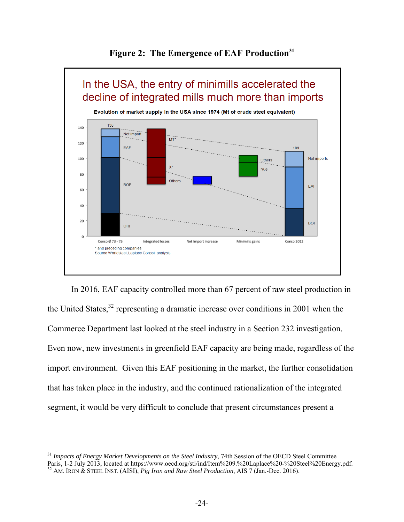



In 2016, EAF capacity controlled more than 67 percent of raw steel production in the United States,  $32$  representing a dramatic increase over conditions in 2001 when the Commerce Department last looked at the steel industry in a Section 232 investigation. Even now, new investments in greenfield EAF capacity are being made, regardless of the import environment. Given this EAF positioning in the market, the further consolidation that has taken place in the industry, and the continued rationalization of the integrated segment, it would be very difficult to conclude that present circumstances present a

<sup>&</sup>lt;sup>31</sup> Impacts of Energy Market Developments on the Steel Industry, 74th Session of the OECD Steel Committee Paris, 1-2 July 2013, located at https://www.oecd.org/sti/ind/Item%209.%20Laplace%20-%20Steel%20Energy.pdf. 32 AM. IRON & STEEL INST. (AISI), *Pig Iron and Raw Steel Production*, AIS 7 (Jan.-Dec. 2016).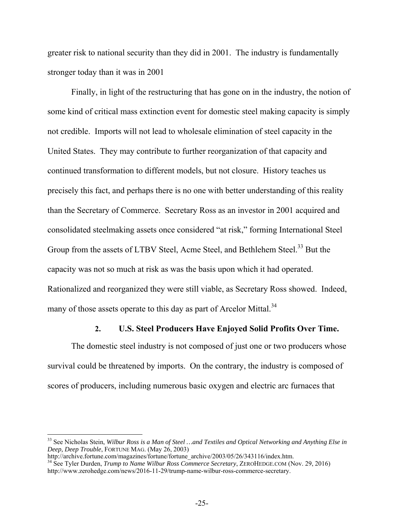greater risk to national security than they did in 2001. The industry is fundamentally stronger today than it was in 2001

Finally, in light of the restructuring that has gone on in the industry, the notion of some kind of critical mass extinction event for domestic steel making capacity is simply not credible. Imports will not lead to wholesale elimination of steel capacity in the United States. They may contribute to further reorganization of that capacity and continued transformation to different models, but not closure. History teaches us precisely this fact, and perhaps there is no one with better understanding of this reality than the Secretary of Commerce. Secretary Ross as an investor in 2001 acquired and consolidated steelmaking assets once considered "at risk," forming International Steel Group from the assets of LTBV Steel, Acme Steel, and Bethlehem Steel.<sup>33</sup> But the capacity was not so much at risk as was the basis upon which it had operated. Rationalized and reorganized they were still viable, as Secretary Ross showed. Indeed, many of those assets operate to this day as part of Arcelor Mittal.<sup>34</sup>

#### **2. U.S. Steel Producers Have Enjoyed Solid Profits Over Time.**

The domestic steel industry is not composed of just one or two producers whose survival could be threatened by imports. On the contrary, the industry is composed of scores of producers, including numerous basic oxygen and electric arc furnaces that

<sup>33</sup> See Nicholas Stein, *Wilbur Ross is a Man of Steel …and Textiles and Optical Networking and Anything Else in Deep, Deep Trouble*, FORTUNE MAG. (May 26, 2003)

http://archive.fortune.com/magazines/fortune/fortune\_archive/2003/05/26/343116/index.htm. 34 See Tyler Durden, *Trump to Name Wilbur Ross Commerce Secretary*, ZEROHEDGE.COM (Nov. 29, 2016) http://www.zerohedge.com/news/2016-11-29/trump-name-wilbur-ross-commerce-secretary.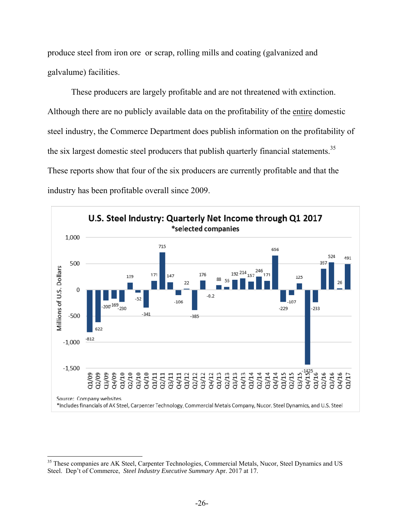produce steel from iron ore or scrap, rolling mills and coating (galvanized and galvalume) facilities.

These producers are largely profitable and are not threatened with extinction. Although there are no publicly available data on the profitability of the entire domestic steel industry, the Commerce Department does publish information on the profitability of the six largest domestic steel producers that publish quarterly financial statements.<sup>35</sup> These reports show that four of the six producers are currently profitable and that the industry has been profitable overall since 2009.



 $\overline{a}$ <sup>35</sup> These companies are AK Steel, Carpenter Technologies, Commercial Metals, Nucor, Steel Dynamics and US Steel. Dep't of Commerce, *Steel Industry Executive Summary* Apr. 2017 at 17.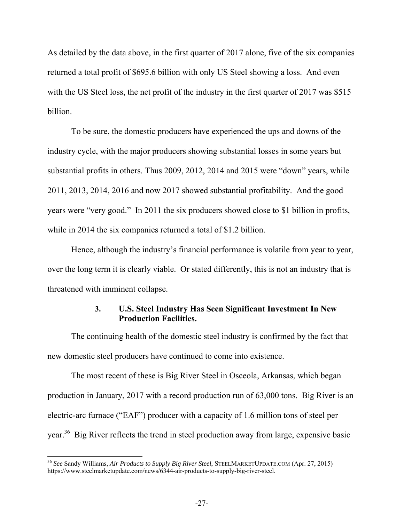As detailed by the data above, in the first quarter of 2017 alone, five of the six companies returned a total profit of \$695.6 billion with only US Steel showing a loss. And even with the US Steel loss, the net profit of the industry in the first quarter of 2017 was \$515 billion.

To be sure, the domestic producers have experienced the ups and downs of the industry cycle, with the major producers showing substantial losses in some years but substantial profits in others. Thus 2009, 2012, 2014 and 2015 were "down" years, while 2011, 2013, 2014, 2016 and now 2017 showed substantial profitability. And the good years were "very good." In 2011 the six producers showed close to \$1 billion in profits, while in 2014 the six companies returned a total of \$1.2 billion.

Hence, although the industry's financial performance is volatile from year to year, over the long term it is clearly viable. Or stated differently, this is not an industry that is threatened with imminent collapse.

## **3. U.S. Steel Industry Has Seen Significant Investment In New Production Facilities.**

The continuing health of the domestic steel industry is confirmed by the fact that new domestic steel producers have continued to come into existence.

The most recent of these is Big River Steel in Osceola, Arkansas, which began production in January, 2017 with a record production run of 63,000 tons. Big River is an electric-arc furnace ("EAF") producer with a capacity of 1.6 million tons of steel per year.36 Big River reflects the trend in steel production away from large, expensive basic

<sup>36</sup> *See* Sandy Williams, *Air Products to Supply Big River Steel*, STEELMARKETUPDATE.COM (Apr. 27, 2015) https://www.steelmarketupdate.com/news/6344-air-products-to-supply-big-river-steel.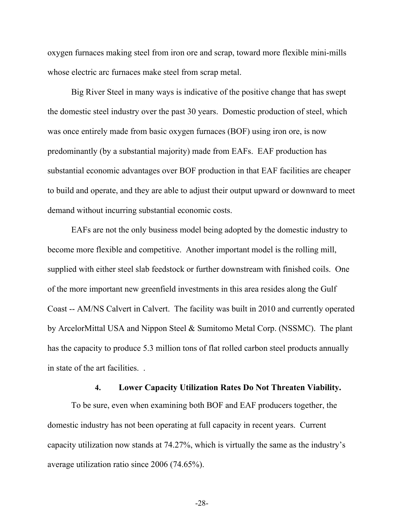oxygen furnaces making steel from iron ore and scrap, toward more flexible mini-mills whose electric arc furnaces make steel from scrap metal.

Big River Steel in many ways is indicative of the positive change that has swept the domestic steel industry over the past 30 years. Domestic production of steel, which was once entirely made from basic oxygen furnaces (BOF) using iron ore, is now predominantly (by a substantial majority) made from EAFs. EAF production has substantial economic advantages over BOF production in that EAF facilities are cheaper to build and operate, and they are able to adjust their output upward or downward to meet demand without incurring substantial economic costs.

EAFs are not the only business model being adopted by the domestic industry to become more flexible and competitive. Another important model is the rolling mill, supplied with either steel slab feedstock or further downstream with finished coils. One of the more important new greenfield investments in this area resides along the Gulf Coast -- AM/NS Calvert in Calvert. The facility was built in 2010 and currently operated by ArcelorMittal USA and Nippon Steel & Sumitomo Metal Corp. (NSSMC). The plant has the capacity to produce 5.3 million tons of flat rolled carbon steel products annually in state of the art facilities. .

#### **4. Lower Capacity Utilization Rates Do Not Threaten Viability.**

To be sure, even when examining both BOF and EAF producers together, the domestic industry has not been operating at full capacity in recent years. Current capacity utilization now stands at 74.27%, which is virtually the same as the industry's average utilization ratio since 2006 (74.65%).

-28-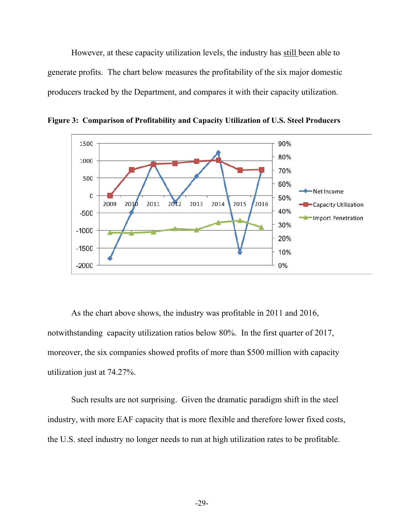However, at these capacity utilization levels, the industry has still been able to generate profits. The chart below measures the profitability of the six major domestic producers tracked by the Department, and compares it with their capacity utilization.



**Figure 3: Comparison of Profitability and Capacity Utilization of U.S. Steel Producers** 

As the chart above shows, the industry was profitable in 2011 and 2016, notwithstanding capacity utilization ratios below 80%. In the first quarter of 2017, moreover, the six companies showed profits of more than \$500 million with capacity utilization just at 74.27%.

Such results are not surprising. Given the dramatic paradigm shift in the steel industry, with more EAF capacity that is more flexible and therefore lower fixed costs, the U.S. steel industry no longer needs to run at high utilization rates to be profitable.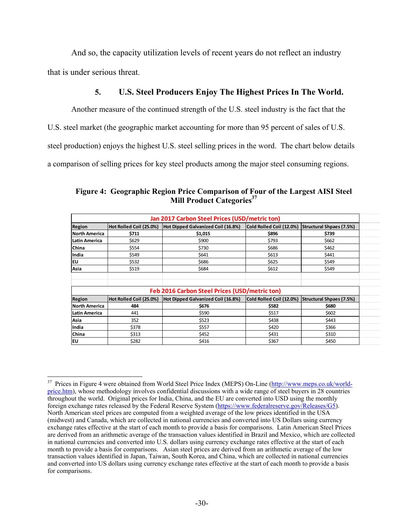And so, the capacity utilization levels of recent years do not reflect an industry that is under serious threat.

#### **5. U.S. Steel Producers Enjoy The Highest Prices In The World.**

Another measure of the continued strength of the U.S. steel industry is the fact that the

U.S. steel market (the geographic market accounting for more than 95 percent of sales of U.S.

steel production) enjoys the highest U.S. steel selling prices in the word. The chart below details

a comparison of selling prices for key steel products among the major steel consuming regions.

|                |                         | Jan 2017 Carbon Steel Prices (USD/metric ton) |       |                                                   |
|----------------|-------------------------|-----------------------------------------------|-------|---------------------------------------------------|
| Region         | Hot Rolled Coil (25.0%) | Hot Dipped Galvanized Coil (16.8%)            |       | Cold Rolled Coil (12.0%) Structural Shpaes (7.5%) |
| North America  | \$711                   | \$1,015                                       | \$896 | \$739                                             |
| lLatin America | \$629                   | \$900                                         | \$793 | \$662                                             |
| China          | \$554                   | \$730                                         | \$686 | \$462                                             |
| India          | \$549                   | \$641                                         | \$613 | \$441                                             |
| lΕU            | \$532                   | \$686                                         | \$625 | \$549                                             |
| Asia           | \$519                   | \$684                                         | \$612 | \$549                                             |
|                |                         |                                               |       |                                                   |
|                |                         | Feb 2016 Carbon Steel Prices (USD/metric ton) |       |                                                   |
| Region         | Hot Rolled Coil (25.0%) | Hot Dipped Galvanized Coil (16.8%)            |       | Cold Rolled Coil (12.0%) Structural Shpaes (7.5%) |
| North America  | 484                     | \$676                                         | \$582 | \$680                                             |
| Latin America  | 441                     | \$590                                         | \$517 | \$602                                             |
| Asia           | 352                     | \$523                                         | \$438 | \$443                                             |
| India          | \$378                   | \$557                                         | \$420 | \$366                                             |
| China          | \$313                   | \$452                                         | \$431 | \$310                                             |
| <b>EU</b>      | \$282                   | \$416                                         | \$367 | \$450                                             |

**Figure 4: Geographic Region Price Comparison of Four of the Largest AISI Steel Mill Product Categories**<sup>37</sup>

<sup>37</sup> 37 Prices in Figure 4 were obtained from World Steel Price Index (MEPS) On-Line (http://www.meps.co.uk/worldprice.htm), whose methodology involves confidential discussions with a wide range of steel buyers in 28 countries throughout the world. Original prices for India, China, and the EU are converted into USD using the monthly foreign exchange rates released by the Federal Reserve System (https://www.federalreserve.gov/Releases/G5). North American steel prices are computed from a weighted average of the low prices identified in the USA (midwest) and Canada, which are collected in national currencies and converted into US Dollars using currency exchange rates effective at the start of each month to provide a basis for comparisons. Latin American Steel Prices are derived from an arithmetic average of the transaction values identified in Brazil and Mexico, which are collected in national currencies and converted into U.S. dollars using currency exchange rates effective at the start of each month to provide a basis for comparisons. Asian steel prices are derived from an arithmetic average of the low transaction values identified in Japan, Taiwan, South Korea, and China, which are collected in national currencies and converted into US dollars using currency exchange rates effective at the start of each month to provide a basis for comparisons.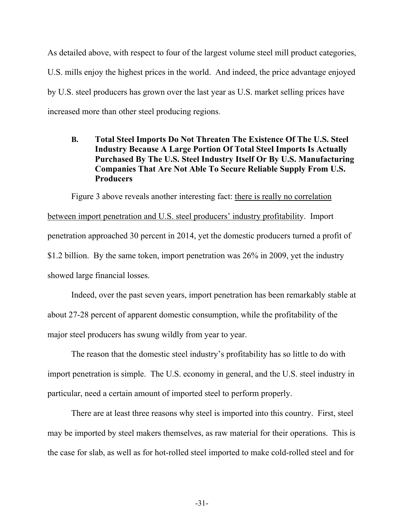As detailed above, with respect to four of the largest volume steel mill product categories, U.S. mills enjoy the highest prices in the world. And indeed, the price advantage enjoyed by U.S. steel producers has grown over the last year as U.S. market selling prices have increased more than other steel producing regions.

## **B. Total Steel Imports Do Not Threaten The Existence Of The U.S. Steel Industry Because A Large Portion Of Total Steel Imports Is Actually Purchased By The U.S. Steel Industry Itself Or By U.S. Manufacturing Companies That Are Not Able To Secure Reliable Supply From U.S. Producers**

Figure 3 above reveals another interesting fact: there is really no correlation between import penetration and U.S. steel producers' industry profitability. Import penetration approached 30 percent in 2014, yet the domestic producers turned a profit of \$1.2 billion. By the same token, import penetration was 26% in 2009, yet the industry showed large financial losses.

Indeed, over the past seven years, import penetration has been remarkably stable at about 27-28 percent of apparent domestic consumption, while the profitability of the major steel producers has swung wildly from year to year.

The reason that the domestic steel industry's profitability has so little to do with import penetration is simple. The U.S. economy in general, and the U.S. steel industry in particular, need a certain amount of imported steel to perform properly.

There are at least three reasons why steel is imported into this country. First, steel may be imported by steel makers themselves, as raw material for their operations. This is the case for slab, as well as for hot-rolled steel imported to make cold-rolled steel and for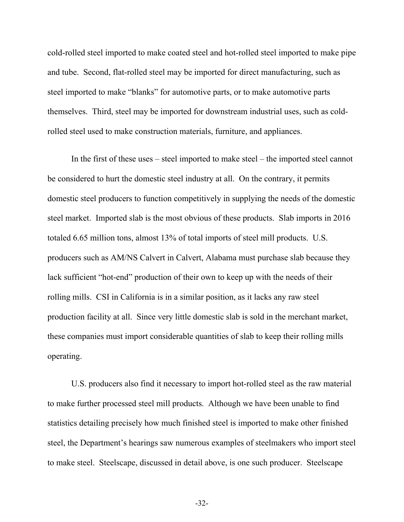cold-rolled steel imported to make coated steel and hot-rolled steel imported to make pipe and tube. Second, flat-rolled steel may be imported for direct manufacturing, such as steel imported to make "blanks" for automotive parts, or to make automotive parts themselves. Third, steel may be imported for downstream industrial uses, such as coldrolled steel used to make construction materials, furniture, and appliances.

In the first of these uses – steel imported to make steel – the imported steel cannot be considered to hurt the domestic steel industry at all. On the contrary, it permits domestic steel producers to function competitively in supplying the needs of the domestic steel market. Imported slab is the most obvious of these products. Slab imports in 2016 totaled 6.65 million tons, almost 13% of total imports of steel mill products. U.S. producers such as AM/NS Calvert in Calvert, Alabama must purchase slab because they lack sufficient "hot-end" production of their own to keep up with the needs of their rolling mills. CSI in California is in a similar position, as it lacks any raw steel production facility at all. Since very little domestic slab is sold in the merchant market, these companies must import considerable quantities of slab to keep their rolling mills operating.

U.S. producers also find it necessary to import hot-rolled steel as the raw material to make further processed steel mill products. Although we have been unable to find statistics detailing precisely how much finished steel is imported to make other finished steel, the Department's hearings saw numerous examples of steelmakers who import steel to make steel. Steelscape, discussed in detail above, is one such producer. Steelscape

-32-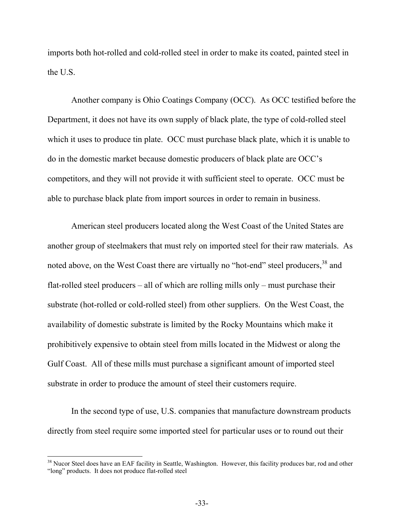imports both hot-rolled and cold-rolled steel in order to make its coated, painted steel in the U.S.

Another company is Ohio Coatings Company (OCC). As OCC testified before the Department, it does not have its own supply of black plate, the type of cold-rolled steel which it uses to produce tin plate. OCC must purchase black plate, which it is unable to do in the domestic market because domestic producers of black plate are OCC's competitors, and they will not provide it with sufficient steel to operate. OCC must be able to purchase black plate from import sources in order to remain in business.

American steel producers located along the West Coast of the United States are another group of steelmakers that must rely on imported steel for their raw materials. As noted above, on the West Coast there are virtually no "hot-end" steel producers, <sup>38</sup> and flat-rolled steel producers – all of which are rolling mills only – must purchase their substrate (hot-rolled or cold-rolled steel) from other suppliers. On the West Coast, the availability of domestic substrate is limited by the Rocky Mountains which make it prohibitively expensive to obtain steel from mills located in the Midwest or along the Gulf Coast. All of these mills must purchase a significant amount of imported steel substrate in order to produce the amount of steel their customers require.

In the second type of use, U.S. companies that manufacture downstream products directly from steel require some imported steel for particular uses or to round out their

<sup>&</sup>lt;sup>38</sup> Nucor Steel does have an EAF facility in Seattle, Washington. However, this facility produces bar, rod and other "long" products. It does not produce flat-rolled steel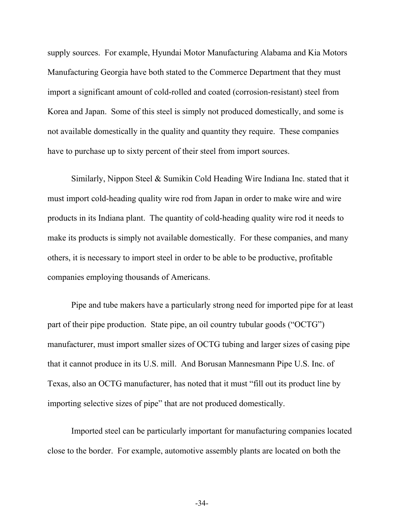supply sources. For example, Hyundai Motor Manufacturing Alabama and Kia Motors Manufacturing Georgia have both stated to the Commerce Department that they must import a significant amount of cold-rolled and coated (corrosion-resistant) steel from Korea and Japan. Some of this steel is simply not produced domestically, and some is not available domestically in the quality and quantity they require. These companies have to purchase up to sixty percent of their steel from import sources.

Similarly, Nippon Steel & Sumikin Cold Heading Wire Indiana Inc. stated that it must import cold-heading quality wire rod from Japan in order to make wire and wire products in its Indiana plant. The quantity of cold-heading quality wire rod it needs to make its products is simply not available domestically. For these companies, and many others, it is necessary to import steel in order to be able to be productive, profitable companies employing thousands of Americans.

Pipe and tube makers have a particularly strong need for imported pipe for at least part of their pipe production. State pipe, an oil country tubular goods ("OCTG") manufacturer, must import smaller sizes of OCTG tubing and larger sizes of casing pipe that it cannot produce in its U.S. mill. And Borusan Mannesmann Pipe U.S. Inc. of Texas, also an OCTG manufacturer, has noted that it must "fill out its product line by importing selective sizes of pipe" that are not produced domestically.

Imported steel can be particularly important for manufacturing companies located close to the border. For example, automotive assembly plants are located on both the

-34-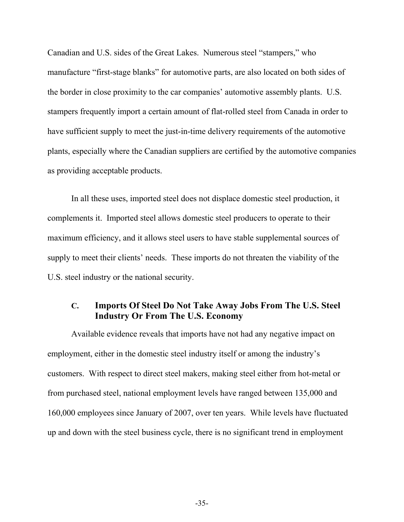Canadian and U.S. sides of the Great Lakes. Numerous steel "stampers," who manufacture "first-stage blanks" for automotive parts, are also located on both sides of the border in close proximity to the car companies' automotive assembly plants. U.S. stampers frequently import a certain amount of flat-rolled steel from Canada in order to have sufficient supply to meet the just-in-time delivery requirements of the automotive plants, especially where the Canadian suppliers are certified by the automotive companies as providing acceptable products.

In all these uses, imported steel does not displace domestic steel production, it complements it. Imported steel allows domestic steel producers to operate to their maximum efficiency, and it allows steel users to have stable supplemental sources of supply to meet their clients' needs. These imports do not threaten the viability of the U.S. steel industry or the national security.

## **C. Imports Of Steel Do Not Take Away Jobs From The U.S. Steel Industry Or From The U.S. Economy**

Available evidence reveals that imports have not had any negative impact on employment, either in the domestic steel industry itself or among the industry's customers. With respect to direct steel makers, making steel either from hot-metal or from purchased steel, national employment levels have ranged between 135,000 and 160,000 employees since January of 2007, over ten years. While levels have fluctuated up and down with the steel business cycle, there is no significant trend in employment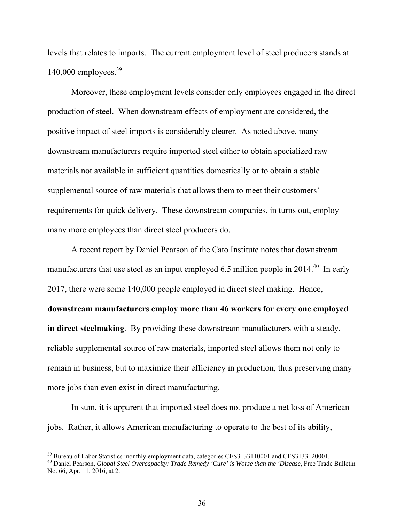levels that relates to imports. The current employment level of steel producers stands at 140,000 employees. $39$ 

Moreover, these employment levels consider only employees engaged in the direct production of steel. When downstream effects of employment are considered, the positive impact of steel imports is considerably clearer. As noted above, many downstream manufacturers require imported steel either to obtain specialized raw materials not available in sufficient quantities domestically or to obtain a stable supplemental source of raw materials that allows them to meet their customers' requirements for quick delivery. These downstream companies, in turns out, employ many more employees than direct steel producers do.

A recent report by Daniel Pearson of the Cato Institute notes that downstream manufacturers that use steel as an input employed 6.5 million people in 2014.<sup>40</sup> In early 2017, there were some 140,000 people employed in direct steel making. Hence, **downstream manufacturers employ more than 46 workers for every one employed in direct steelmaking**. By providing these downstream manufacturers with a steady, reliable supplemental source of raw materials, imported steel allows them not only to remain in business, but to maximize their efficiency in production, thus preserving many more jobs than even exist in direct manufacturing.

In sum, it is apparent that imported steel does not produce a net loss of American jobs. Rather, it allows American manufacturing to operate to the best of its ability,

<sup>&</sup>lt;sup>39</sup> Bureau of Labor Statistics monthly employment data, categories CES3133110001 and CES3133120001.

<sup>40</sup> Daniel Pearson, *Global Steel Overcapacity: Trade Remedy 'Cure' is Worse than the 'Disease*, Free Trade Bulletin No. 66, Apr. 11, 2016, at 2.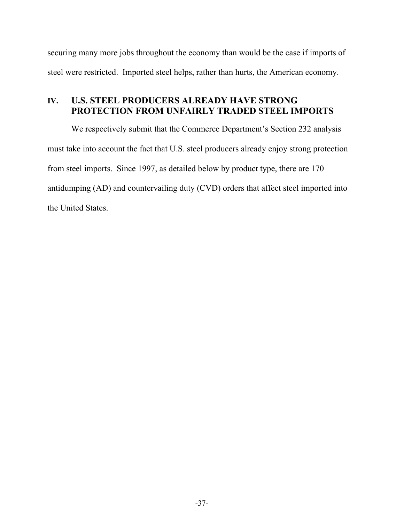securing many more jobs throughout the economy than would be the case if imports of steel were restricted. Imported steel helps, rather than hurts, the American economy.

# **IV. U.S. STEEL PRODUCERS ALREADY HAVE STRONG PROTECTION FROM UNFAIRLY TRADED STEEL IMPORTS**

We respectively submit that the Commerce Department's Section 232 analysis must take into account the fact that U.S. steel producers already enjoy strong protection from steel imports. Since 1997, as detailed below by product type, there are 170 antidumping (AD) and countervailing duty (CVD) orders that affect steel imported into the United States.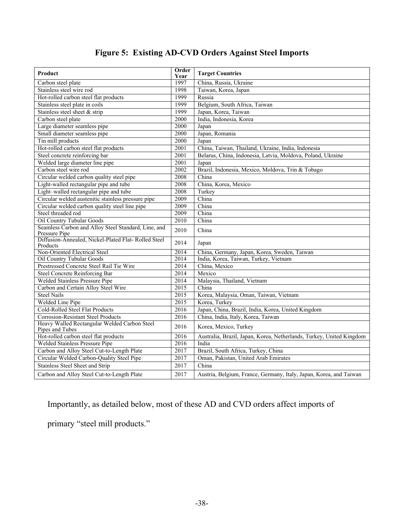# **Figure 5: Existing AD-CVD Orders Against Steel Imports**

| Product                                                              | Order<br>Year | <b>Target Countries</b>                                              |
|----------------------------------------------------------------------|---------------|----------------------------------------------------------------------|
| Carbon steel plate                                                   | 1997          | China, Russia, Ukraine                                               |
| Stainless steel wire rod                                             | 1998          | Taiwan, Korea, Japan                                                 |
| Hot-rolled carbon steel flat products                                | 1999          | Russia                                                               |
| Stainless steel plate in coils                                       | 1999          | Belgium, South Africa, Taiwan                                        |
| Stainless steel sheet $&$ strip                                      | 1999          | Japan, Korea, Taiwan                                                 |
| Carbon steel plate                                                   | 2000          | India, Indonesia, Korea                                              |
| Large diameter seamless pipe                                         | 2000          | Japan                                                                |
| Small diameter seamless pipe                                         | 2000          | Japan, Romania                                                       |
| Tin mill products                                                    | 2000          | Japan                                                                |
| Hot-rolled carbon steel flat products                                | 2001          | China, Taiwan, Thailand, Ukraine, India, Indonesia                   |
| Steel concrete reinforcing bar                                       | 2001          | Belarus, China, Indonesia, Latvia, Moldova, Poland, Ukraine          |
| Welded large diameter line pipe                                      | 2001          | Japan                                                                |
| Carbon steel wire rod                                                | 2002          | Brazil, Indonesia, Mexico, Moldova, Trin & Tobago                    |
| Circular welded carbon quality steel pipe                            | 2008          | China                                                                |
| Light-walled rectangular pipe and tube                               | 2008          | China, Korea, Mexico                                                 |
| Light-walled rectangular pipe and tube                               | 2008          | Turkey                                                               |
| Circular welded austenitic stainless pressure pipe                   | 2009          | China                                                                |
| Circular welded carbon quality steel line pipe                       | 2009          | China                                                                |
| Steel threaded rod                                                   | 2009          | China                                                                |
| <b>Oil Country Tubular Goods</b>                                     | 2010          | China                                                                |
| Seamless Carbon and Alloy Steel Standard, Line, and<br>Pressure Pipe | 2010          | China                                                                |
| Diffusion-Annealed, Nickel-Plated Flat-Rolled Steel<br>Products      | 2014          | Japan                                                                |
| Non-Oriented Electrical Steel                                        | 2014          | China, Germany, Japan, Korea, Sweden, Taiwan                         |
| Oil Country Tubular Goods                                            | 2014          | India, Korea, Taiwan, Turkey, Vietnam                                |
| Prestressed Concrete Steel Rail Tie Wire                             | 2014          | China, Mexico                                                        |
| <b>Steel Concrete Reinforcing Bar</b>                                | 2014          | Mexico                                                               |
| Welded Stainless Pressure Pipe                                       | 2014          | Malaysia, Thailand, Vietnam                                          |
| Carbon and Certain Alloy Steel Wire                                  | 2015          | China                                                                |
| <b>Steel Nails</b>                                                   | 2015          | Korea, Malaysia, Oman, Taiwan, Vietnam                               |
| Welded Line Pipe                                                     | 2015          | Korea, Turkey                                                        |
| Cold-Rolled Steel Flat Products                                      | 2016          | Japan, China, Brazil, India, Korea, United Kingdom                   |
| Corrosion-Resistant Steel Products                                   | 2016          | China, India, Italy, Korea, Taiwan                                   |
| Heavy Walled Rectangular Welded Carbon Steel<br>Pipes and Tubes      | 2016          | Korea, Mexico, Turkey                                                |
| Hot-rolled carbon steel flat products                                | 2016          | Australia, Brazil, Japan, Korea, Netherlands, Turkey, United Kingdom |
| Welded Stainless Pressure Pipe                                       | 2016          | India                                                                |
| Carbon and Alloy Steel Cut-to-Length Plate                           | 2017          | Brazil, South Africa, Turkey, China                                  |
| Circular Welded Carbon-Quality Steel Pipe                            | 2017          | Oman, Pakistan, United Arab Emirates                                 |
| Stainless Steel Sheet and Strip                                      | 2017          | China                                                                |
| Carbon and Alloy Steel Cut-to-Length Plate                           | 2017          | Austria, Belgium, France, Germany, Italy, Japan, Korea, and Taiwan   |

Importantly, as detailed below, most of these AD and CVD orders affect imports of primary "steel mill products."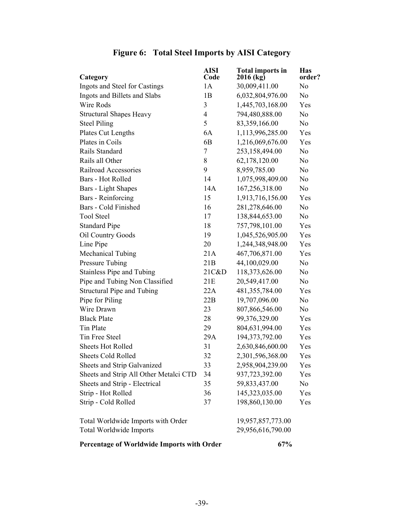| Category                                   | <b>AISI</b><br>Code | <b>Total imports in</b><br>$2016$ (kg) | <b>Has</b><br>order? |  |
|--------------------------------------------|---------------------|----------------------------------------|----------------------|--|
| Ingots and Steel for Castings              | 1A                  | 30,009,411.00                          | N <sub>0</sub>       |  |
| Ingots and Billets and Slabs               | 1B                  | 6,032,804,976.00                       | N <sub>0</sub>       |  |
| <b>Wire Rods</b>                           | 3                   | 1,445,703,168.00                       | Yes                  |  |
| <b>Structural Shapes Heavy</b>             | $\overline{4}$      | 794,480,888.00                         | N <sub>o</sub>       |  |
| <b>Steel Piling</b>                        | 5                   | 83,359,166.00                          | No.                  |  |
| Plates Cut Lengths                         | 6A                  | 1,113,996,285.00                       | Yes                  |  |
| Plates in Coils                            | 6 <sub>B</sub>      | 1,216,069,676.00                       | Yes                  |  |
| Rails Standard                             | $\tau$              | 253,158,494.00                         | N <sub>0</sub>       |  |
| Rails all Other                            | 8                   | 62,178,120.00                          | N <sub>0</sub>       |  |
| Railroad Accessories                       | 9                   | 8,959,785.00                           | N <sub>0</sub>       |  |
| Bars - Hot Rolled                          | 14                  | 1,075,998,409.00                       | N <sub>0</sub>       |  |
| <b>Bars</b> - Light Shapes                 | 14A                 | 167,256,318.00                         | N <sub>o</sub>       |  |
| <b>Bars</b> - Reinforcing                  | 15                  | 1,913,716,156.00                       | Yes                  |  |
| <b>Bars - Cold Finished</b>                | 16                  | 281,278,646.00                         | N <sub>0</sub>       |  |
| <b>Tool Steel</b>                          | 17                  | 138,844,653.00                         | N <sub>0</sub>       |  |
| <b>Standard Pipe</b>                       | 18                  | 757,798,101.00                         | Yes                  |  |
| Oil Country Goods                          | 19                  | 1,045,526,905.00                       | Yes                  |  |
| Line Pipe                                  | 20                  | 1,244,348,948.00                       | Yes                  |  |
| <b>Mechanical Tubing</b>                   | 21A                 | 467,706,871.00                         | Yes                  |  |
| Pressure Tubing                            | 21B                 | 44,100,029.00                          | N <sub>0</sub>       |  |
| Stainless Pipe and Tubing                  | 21C&D               | 118,373,626.00                         | N <sub>0</sub>       |  |
| Pipe and Tubing Non Classified             | 21E                 | 20,549,417.00                          | No.                  |  |
| Structural Pipe and Tubing                 | 22A                 | 481,355,784.00                         | Yes                  |  |
| Pipe for Piling                            | 22B                 | 19,707,096.00                          | N <sub>0</sub>       |  |
| Wire Drawn                                 | 23                  | 807,866,546.00                         | No.                  |  |
| <b>Black Plate</b>                         | 28                  | 99,376,329.00                          | Yes                  |  |
| Tin Plate                                  | 29                  | 804,631,994.00                         | Yes                  |  |
| Tin Free Steel                             | 29A                 | 194, 373, 792.00                       | Yes                  |  |
| <b>Sheets Hot Rolled</b>                   | 31                  | 2,630,846,600.00                       | Yes                  |  |
| <b>Sheets Cold Rolled</b>                  | 32                  | 2,301,596,368.00                       | Yes                  |  |
| Sheets and Strip Galvanized                | 33                  | 2,958,904,239.00                       | Yes                  |  |
| Sheets and Strip All Other Metalci CTD     | 34                  | 937,723,392.00                         | Yes                  |  |
| Sheets and Strip - Electrical              | 35                  | 59,833,437.00                          | No                   |  |
| Strip - Hot Rolled                         | 36                  | 145,323,035.00                         | Yes                  |  |
| Strip - Cold Rolled                        | 37                  | 198,860,130.00                         | Yes                  |  |
| Total Worldwide Imports with Order         |                     | 19,957,857,773.00                      |                      |  |
| Total Worldwide Imports                    |                     | 29,956,616,790.00                      |                      |  |
| Percentage of Worldwide Imports with Order |                     | 67%                                    |                      |  |

# **Figure 6: Total Steel Imports by AISI Category**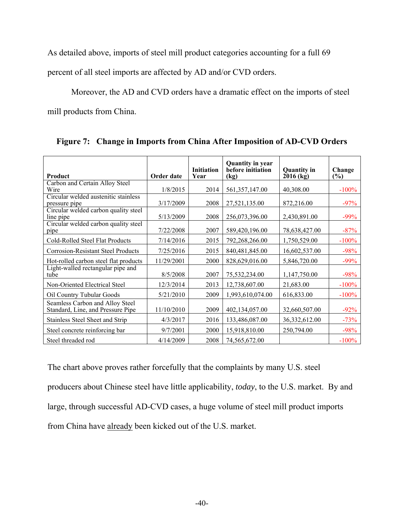As detailed above, imports of steel mill product categories accounting for a full 69

percent of all steel imports are affected by AD and/or CVD orders.

Moreover, the AD and CVD orders have a dramatic effect on the imports of steel

mill products from China.

| <b>Product</b>                                                       | Order date | <b>Initiation</b><br>Year | <b>Quantity in year</b><br>before initiation<br>(kg) | <b>Quantity in</b><br>$2016$ (kg) | Change<br>(%) |
|----------------------------------------------------------------------|------------|---------------------------|------------------------------------------------------|-----------------------------------|---------------|
| Carbon and Certain Alloy Steel                                       |            |                           |                                                      |                                   |               |
| Wire                                                                 | 1/8/2015   | 2014                      | 561, 357, 147.00                                     | 40,308.00                         | $-100%$       |
| Circular welded austenitic stainless<br>pressure pipe                | 3/17/2009  | 2008                      | 27,521,135.00                                        | 872,216.00                        | $-97%$        |
| Circular welded carbon quality steel<br>line pipe                    | 5/13/2009  | 2008                      | 256,073,396.00                                       | 2,430,891.00                      | $-99%$        |
| Circular welded carbon quality steel<br>pipe                         | 7/22/2008  | 2007                      | 589,420,196.00                                       | 78,638,427.00                     | $-87%$        |
| Cold-Rolled Steel Flat Products                                      | 7/14/2016  | 2015                      | 792,268,266.00                                       | 1,750,529.00                      | $-100%$       |
| <b>Corrosion-Resistant Steel Products</b>                            | 7/25/2016  | 2015                      | 840,481,845.00                                       | 16,602,537.00                     | $-98%$        |
| Hot-rolled carbon steel flat products                                | 11/29/2001 | 2000                      | 828,629,016.00                                       | 5,846,720.00                      | $-99%$        |
| Light-walled rectangular pipe and<br>tube                            | 8/5/2008   | 2007                      | 75,532,234.00                                        | 1,147,750.00                      | $-98%$        |
| Non-Oriented Electrical Steel                                        | 12/3/2014  | 2013                      | 12,738,607.00                                        | 21,683.00                         | $-100%$       |
| Oil Country Tubular Goods                                            | 5/21/2010  | 2009                      | 1,993,610,074.00                                     | 616,833.00                        | $-100%$       |
| Seamless Carbon and Alloy Steel<br>Standard, Line, and Pressure Pipe | 11/10/2010 | 2009                      | 402,134,057.00                                       | 32,660,507.00                     | $-92%$        |
| Stainless Steel Sheet and Strip                                      | 4/3/2017   | 2016                      | 133,486,087.00                                       | 36,332,612.00                     | $-73%$        |
| Steel concrete reinforcing bar                                       | 9/7/2001   | 2000                      | 15,918,810.00                                        | 250,794.00                        | $-98%$        |
| Steel threaded rod                                                   | 4/14/2009  | 2008                      | 74,565,672.00                                        |                                   | $-100%$       |

**Figure 7: Change in Imports from China After Imposition of AD-CVD Orders** 

The chart above proves rather forcefully that the complaints by many U.S. steel producers about Chinese steel have little applicability, *today*, to the U.S. market. By and large, through successful AD-CVD cases, a huge volume of steel mill product imports from China have already been kicked out of the U.S. market.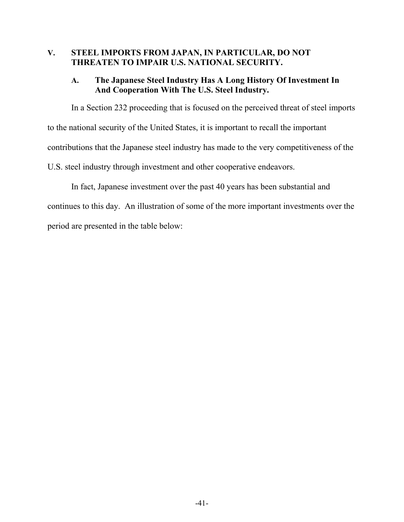### **V. STEEL IMPORTS FROM JAPAN, IN PARTICULAR, DO NOT THREATEN TO IMPAIR U.S. NATIONAL SECURITY.**

## **A. The Japanese Steel Industry Has A Long History Of Investment In And Cooperation With The U.S. Steel Industry.**

In a Section 232 proceeding that is focused on the perceived threat of steel imports to the national security of the United States, it is important to recall the important contributions that the Japanese steel industry has made to the very competitiveness of the U.S. steel industry through investment and other cooperative endeavors.

In fact, Japanese investment over the past 40 years has been substantial and continues to this day. An illustration of some of the more important investments over the period are presented in the table below: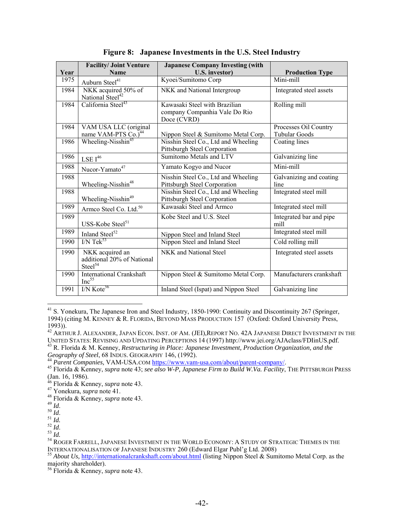| Year | <b>Facility/ Joint Venture</b><br><b>Name</b>                        | <b>Japanese Company Investing (with</b><br><b>U.S. investor)</b>              | <b>Production Type</b>                        |
|------|----------------------------------------------------------------------|-------------------------------------------------------------------------------|-----------------------------------------------|
| 1975 | Auburn Steel <sup>41</sup>                                           | Kyoei/Sumitomo Corp                                                           | Mini-mill                                     |
| 1984 | NKK acquired 50% of<br>National Steel <sup>42</sup>                  | NKK and National Intergroup                                                   | Integrated steel assets                       |
| 1984 | California Steel <sup>43</sup>                                       | Kawasaki Steel with Brazilian<br>company Companhia Vale Do Rio<br>Doce (CVRD) | Rolling mill                                  |
| 1984 | VAM USA LLC (original<br>name VAM-PTS Co.) <sup>44</sup>             | Nippon Steel & Sumitomo Metal Corp.                                           | Processes Oil Country<br><b>Tubular Goods</b> |
| 1986 | Wheeling-Nisshin <sup>45</sup>                                       | Nisshin Steel Co., Ltd and Wheeling<br>Pittsburgh Steel Corporation           | Coating lines                                 |
| 1986 | $\text{LSE}\; \text{I}^{46}$                                         | Sumitomo Metals and LTV                                                       | Galvanizing line                              |
| 1988 | Nucor-Yamato <sup>47</sup>                                           | Yamato Kogyo and Nucor                                                        | Mini-mill                                     |
| 1988 | Wheeling-Nisshin <sup>48</sup>                                       | Nisshin Steel Co., Ltd and Wheeling<br>Pittsburgh Steel Corporation           | Galvanizing and coating<br>line               |
| 1988 | Wheeling-Nisshin <sup>49</sup>                                       | Nisshin Steel Co., Ltd and Wheeling<br>Pittsburgh Steel Corporation           | Integrated steel mill                         |
| 1989 | Armco Steel Co. Ltd. <sup>50</sup>                                   | Kawasaki Steel and Armco                                                      | Integrated steel mill                         |
| 1989 | USS-Kobe Steel <sup>51</sup>                                         | Kobe Steel and U.S. Steel                                                     | Integrated bar and pipe<br>mill               |
| 1989 | Inland Steel <sup>52</sup>                                           | Nippon Steel and Inland Steel                                                 | Integrated steel mill                         |
| 1990 | $I/N$ Tek <sup>53</sup>                                              | Nippon Steel and Inland Steel                                                 | Cold rolling mill                             |
| 1990 | NKK acquired an<br>additional 20% of National<br>Steel <sup>54</sup> | NKK and National Steel                                                        | Integrated steel assets                       |
| 1990 | <b>International Crankshaft</b><br>$Inc^{55}$                        | Nippon Steel & Sumitomo Metal Corp.                                           | Manufacturers crankshaft                      |
| 1991 | $I/N$ Kote <sup>56</sup>                                             | Inland Steel (Ispat) and Nippon Steel                                         | Galvanizing line                              |

**Figure 8: Japanese Investments in the U.S. Steel Industry** 

 $\overline{a}$ <sup>41</sup> S. Yonekura, The Japanese Iron and Steel Industry, 1850-1990: Continuity and Discontinuity 267 (Springer, 1994) (citing M. KENNEY & R. FLORIDA, BEYOND MASS PRODUCTION 157 (Oxford: Oxford University Press, 1993)).

 $^{42}$  Arthur J. Alexander, Japan Econ. Inst. of Am. (JEI),Report No. 42A Japanese Direct Investment in the

UNITED STATES: REVISING AND UPDATING PERCEPTIONS 14 (1997) http://www.jei.org/AJAclass/FDIinUS.pdf. <sup>43</sup> R. Florida & M. Kenney, *Restructuring in Place: Japanese Investment, Production Organization, and the Geography of S* 

<sup>45</sup> Florida & Kenney, *supra* note 43; *see also W-P, Japanese Firm to Build W.Va. Facility*, THE PITTSBURGH PRESS<br><sup>45</sup> Florida & Kenney, *supra* note 43; *see also W-P, Japanese Firm to Build W.Va. Facility*, THE PITTSBURG (Jan. 16, 1986).

<sup>46</sup> Florida & Kenney, *supra* note 43.

<sup>47</sup> Yonekura, *supra* note 41.

<sup>48</sup> Florida & Kenney, *supra* note 43.

<sup>&</sup>lt;sup>50</sup> *Id.*<br><sup>51</sup> *Id.*<br><sup>52</sup> *Id.* 52 *Id.*<br><sup>53</sup> *Id.* 53 *Id.* 54 ROGER FARRELL, JAPANESE INVESTMENT IN THE WORLD ECONOMY: A STUDY OF STRATEGIC THEMES IN THE INTERNATIONALISATION OF JAPANESE INDUSTRY 260 (Edward Elgar Publ'g Ltd. 2008)<br><sup>55</sup> *About Us*, <u>http://internationalcrankshaft.com/about.html</u> (listing Nippon Steel & Sumitomo Metal Corp. as the

majority shareholder).

<sup>56</sup> Florida & Kenney, *supra* note 43.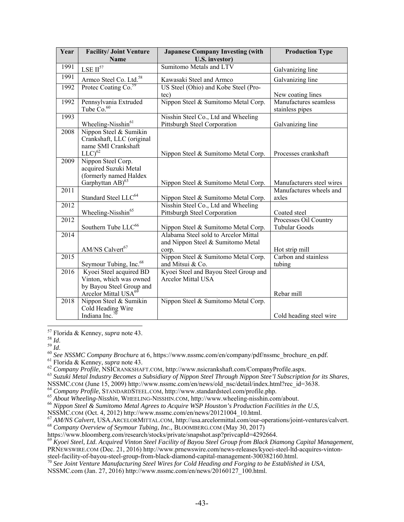| Year              | <b>Facility/ Joint Venture</b><br>Name                                                                             | <b>Japanese Company Investing (with</b><br><b>U.S. investor)</b>                   | <b>Production Type</b>                        |
|-------------------|--------------------------------------------------------------------------------------------------------------------|------------------------------------------------------------------------------------|-----------------------------------------------|
| 1991              | $\text{LSE II}^{57}$                                                                                               | Sumitomo Metals and LTV                                                            | Galvanizing line                              |
| 1991              | Armco Steel Co. Ltd. <sup>58</sup><br>Protec Coating Co. <sup>59</sup>                                             | Kawasaki Steel and Armco                                                           | Galvanizing line                              |
| 1992              |                                                                                                                    | US Steel (Ohio) and Kobe Steel (Pro-<br>tec)                                       | New coating lines                             |
| 1992              | Pennsylvania Extruded<br>Tube $Co.60$                                                                              | Nippon Steel & Sumitomo Metal Corp.                                                | Manufactures seamless<br>stainless pipes      |
| 1993              | Wheeling-Nisshin <sup>61</sup>                                                                                     | Nisshin Steel Co., Ltd and Wheeling<br>Pittsburgh Steel Corporation                | Galvanizing line                              |
| 2008              | Nippon Steel & Sumikin<br>Crankshaft, LLC (original<br>name SMI Crankshaft<br>$LLC$ <sup>62</sup>                  | Nippon Steel & Sumitomo Metal Corp.                                                | Processes crankshaft                          |
| 2009              | Nippon Steel Corp.<br>acquired Suzuki Metal<br>(formerly named Haldex<br>Garphyttan AB) <sup>63</sup>              | Nippon Steel & Sumitomo Metal Corp.                                                | Manufacturers steel wires                     |
| 2011              |                                                                                                                    |                                                                                    | Manufactures wheels and                       |
| 2012              | Standard Steel LLC <sup>64</sup>                                                                                   | Nippon Steel & Sumitomo Metal Corp.<br>Nisshin Steel Co., Ltd and Wheeling         | axles                                         |
|                   | Wheeling-Nisshin <sup>65</sup>                                                                                     | Pittsburgh Steel Corporation                                                       | Coated steel                                  |
| 2012              | Southern Tube LLC <sup>66</sup>                                                                                    | Nippon Steel & Sumitomo Metal Corp.                                                | Processes Oil Country<br><b>Tubular Goods</b> |
| 2014              | AM/NS Calvert <sup>67</sup>                                                                                        | Alabama Steel sold to Arcelor Mittal<br>and Nippon Steel & Sumitomo Metal<br>corp. | Hot strip mill                                |
| $\overline{2015}$ | Seymour Tubing, Inc. <sup>68</sup>                                                                                 | Nippon Steel & Sumitomo Metal Corp.<br>and Mitsui & Co.                            | Carbon and stainless<br>tubing                |
| 2016              | Kyoei Steel acquired BD<br>Vinton, which was owned<br>by Bayou Steel Group and<br>Arcelor Mittal USA <sup>69</sup> | Kyoei Steel and Bayou Steel Group and<br><b>Arcelor Mittal USA</b>                 | Rebar mill                                    |
| 2018              | Nippon Steel & Sumikin<br>Cold Heading Wire<br>Indiana Inc. $70$                                                   | Nippon Steel & Sumitomo Metal Corp.                                                | Cold heading steel wire                       |

 $\overline{a}$ 57 Florida & Kenney, *supra* note 43.

<sup>58</sup> *Id.*<br><sup>59</sup> *Id.*<br><sup>60</sup> *See NSSMC Company Brochure* at 6, https://www.nssmc.com/en/company/pdf/nssmc\_brochure\_en.pdf.<br><sup>61</sup> Florida & Kenney, *supra* note 43.<br><sup>62</sup> *Company Profile*, NSICRANKSHAFT.COM, http://www.nsicra

<sup>63</sup> Suzuki Metal Industry Becomes a Subsidiary of Nippon Steel Through Nippon Stee'l Subscription for its Shares,<br>NSSMC.COM (June 15, 2009) http://www.nssmc.com/en/news/old nsc/detail/index.html?rec id=3638.

<sup>64</sup> Company Profile, STANDARDSTEEL.COM, http://www.standardsteel.com/profile.php.<br><sup>65</sup> About Wheeling-Nisshin, WHEELING-NISSHIN.COM, http://www.wheeling-nisshin.com/about.<br><sup>66</sup> Nippon Steel & Sumitomo Metal Agrees to Acq

NSMC.COM (Oct. 4, 2012) http://www.nssmc.com/en/news/20121004\_10.html.<br>
<sup>67</sup> AM/NS Calvert, USA.ARCELORMITTAL.COM, http://usa.arcelormittal.com/our-operations/joint-ventures/calvert.<br>
<sup>68</sup> Company Overview of Seymour Tubin

https://www.bloomberg.com/research/stocks/private/snapshot.asp?privcapId=4292664. 69 *Kyoei Steel, Ltd. Acquired Vinton Steel Facility of Bayou Steel Group from Black Diamong Capital Management*, PRNEWSWIRE.COM (Dec. 21, 2016) http://www.prnewswire.com/news-releases/kyoei-steel-ltd-acquires-vinton-

steel-facility-of-bayou-steel-group-from-black-diamond-capital-management-300382160.html. 70 *See Joint Venture Manufacturing Steel Wires for Cold Heading and Forging to be Established in USA*,

NSSMC.com (Jan. 27, 2016) http://www.nssmc.com/en/news/20160127\_100.html.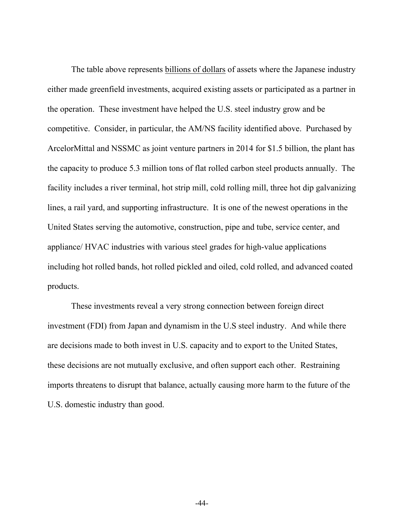The table above represents billions of dollars of assets where the Japanese industry either made greenfield investments, acquired existing assets or participated as a partner in the operation. These investment have helped the U.S. steel industry grow and be competitive. Consider, in particular, the AM/NS facility identified above. Purchased by ArcelorMittal and NSSMC as joint venture partners in 2014 for \$1.5 billion, the plant has the capacity to produce 5.3 million tons of flat rolled carbon steel products annually. The facility includes a river terminal, hot strip mill, cold rolling mill, three hot dip galvanizing lines, a rail yard, and supporting infrastructure. It is one of the newest operations in the United States serving the automotive, construction, pipe and tube, service center, and appliance/ HVAC industries with various steel grades for high-value applications including hot rolled bands, hot rolled pickled and oiled, cold rolled, and advanced coated products.

These investments reveal a very strong connection between foreign direct investment (FDI) from Japan and dynamism in the U.S steel industry. And while there are decisions made to both invest in U.S. capacity and to export to the United States, these decisions are not mutually exclusive, and often support each other. Restraining imports threatens to disrupt that balance, actually causing more harm to the future of the U.S. domestic industry than good.

-44-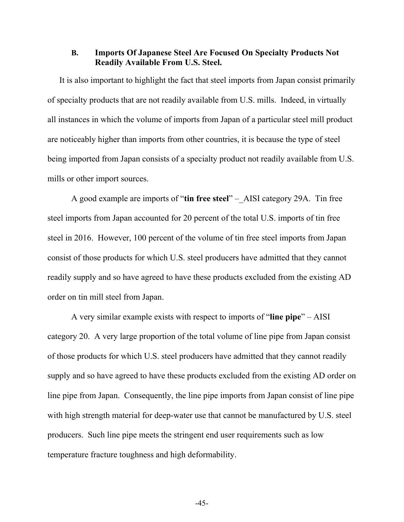#### **B. Imports Of Japanese Steel Are Focused On Specialty Products Not Readily Available From U.S. Steel.**

It is also important to highlight the fact that steel imports from Japan consist primarily of specialty products that are not readily available from U.S. mills. Indeed, in virtually all instances in which the volume of imports from Japan of a particular steel mill product are noticeably higher than imports from other countries, it is because the type of steel being imported from Japan consists of a specialty product not readily available from U.S. mills or other import sources.

A good example are imports of "**tin free steel**" –\_AISI category 29A. Tin free steel imports from Japan accounted for 20 percent of the total U.S. imports of tin free steel in 2016. However, 100 percent of the volume of tin free steel imports from Japan consist of those products for which U.S. steel producers have admitted that they cannot readily supply and so have agreed to have these products excluded from the existing AD order on tin mill steel from Japan.

A very similar example exists with respect to imports of "**line pipe**" – AISI category 20. A very large proportion of the total volume of line pipe from Japan consist of those products for which U.S. steel producers have admitted that they cannot readily supply and so have agreed to have these products excluded from the existing AD order on line pipe from Japan. Consequently, the line pipe imports from Japan consist of line pipe with high strength material for deep-water use that cannot be manufactured by U.S. steel producers. Such line pipe meets the stringent end user requirements such as low temperature fracture toughness and high deformability.

-45-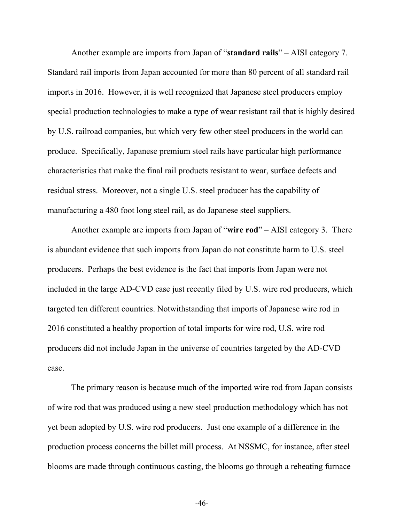Another example are imports from Japan of "**standard rails**" – AISI category 7. Standard rail imports from Japan accounted for more than 80 percent of all standard rail imports in 2016. However, it is well recognized that Japanese steel producers employ special production technologies to make a type of wear resistant rail that is highly desired by U.S. railroad companies, but which very few other steel producers in the world can produce. Specifically, Japanese premium steel rails have particular high performance characteristics that make the final rail products resistant to wear, surface defects and residual stress. Moreover, not a single U.S. steel producer has the capability of manufacturing a 480 foot long steel rail, as do Japanese steel suppliers.

Another example are imports from Japan of "**wire rod**" – AISI category 3. There is abundant evidence that such imports from Japan do not constitute harm to U.S. steel producers. Perhaps the best evidence is the fact that imports from Japan were not included in the large AD-CVD case just recently filed by U.S. wire rod producers, which targeted ten different countries. Notwithstanding that imports of Japanese wire rod in 2016 constituted a healthy proportion of total imports for wire rod, U.S. wire rod producers did not include Japan in the universe of countries targeted by the AD-CVD case.

The primary reason is because much of the imported wire rod from Japan consists of wire rod that was produced using a new steel production methodology which has not yet been adopted by U.S. wire rod producers. Just one example of a difference in the production process concerns the billet mill process. At NSSMC, for instance, after steel blooms are made through continuous casting, the blooms go through a reheating furnace

-46-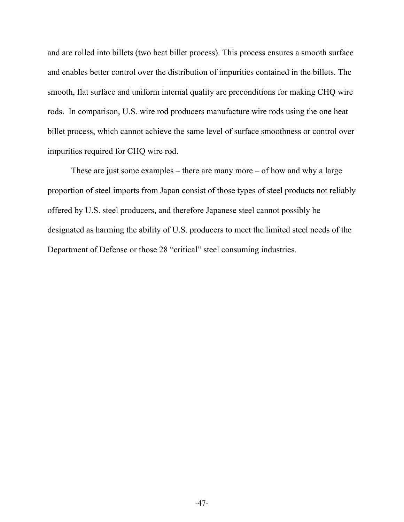and are rolled into billets (two heat billet process). This process ensures a smooth surface and enables better control over the distribution of impurities contained in the billets. The smooth, flat surface and uniform internal quality are preconditions for making CHQ wire rods. In comparison, U.S. wire rod producers manufacture wire rods using the one heat billet process, which cannot achieve the same level of surface smoothness or control over impurities required for CHQ wire rod.

These are just some examples – there are many more – of how and why a large proportion of steel imports from Japan consist of those types of steel products not reliably offered by U.S. steel producers, and therefore Japanese steel cannot possibly be designated as harming the ability of U.S. producers to meet the limited steel needs of the Department of Defense or those 28 "critical" steel consuming industries.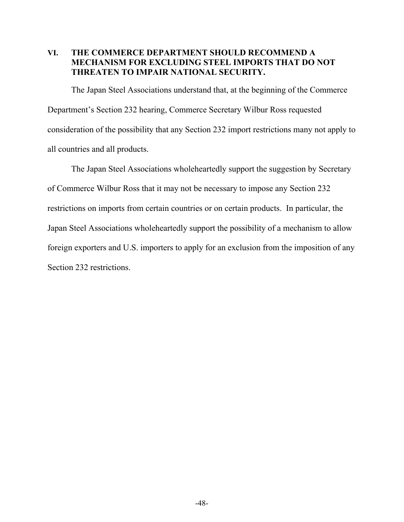## **VI. THE COMMERCE DEPARTMENT SHOULD RECOMMEND A MECHANISM FOR EXCLUDING STEEL IMPORTS THAT DO NOT THREATEN TO IMPAIR NATIONAL SECURITY.**

The Japan Steel Associations understand that, at the beginning of the Commerce Department's Section 232 hearing, Commerce Secretary Wilbur Ross requested consideration of the possibility that any Section 232 import restrictions many not apply to all countries and all products.

The Japan Steel Associations wholeheartedly support the suggestion by Secretary of Commerce Wilbur Ross that it may not be necessary to impose any Section 232 restrictions on imports from certain countries or on certain products. In particular, the Japan Steel Associations wholeheartedly support the possibility of a mechanism to allow foreign exporters and U.S. importers to apply for an exclusion from the imposition of any Section 232 restrictions.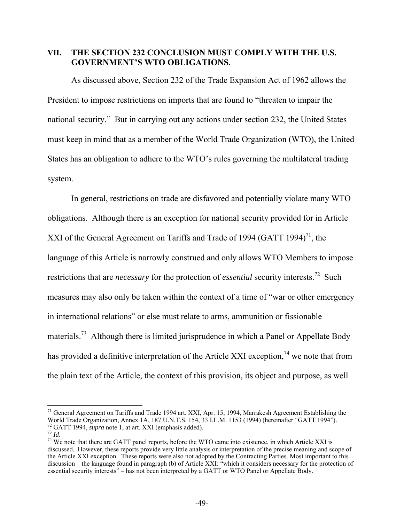#### **VII. THE SECTION 232 CONCLUSION MUST COMPLY WITH THE U.S. GOVERNMENT'S WTO OBLIGATIONS.**

As discussed above, Section 232 of the Trade Expansion Act of 1962 allows the President to impose restrictions on imports that are found to "threaten to impair the national security." But in carrying out any actions under section 232, the United States must keep in mind that as a member of the World Trade Organization (WTO), the United States has an obligation to adhere to the WTO's rules governing the multilateral trading system.

In general, restrictions on trade are disfavored and potentially violate many WTO obligations. Although there is an exception for national security provided for in Article XXI of the General Agreement on Tariffs and Trade of 1994 (GATT 1994)<sup>71</sup>, the language of this Article is narrowly construed and only allows WTO Members to impose restrictions that are *necessary* for the protection of *essential* security interests.<sup>72</sup> Such measures may also only be taken within the context of a time of "war or other emergency in international relations" or else must relate to arms, ammunition or fissionable materials.<sup>73</sup> Although there is limited jurisprudence in which a Panel or Appellate Body has provided a definitive interpretation of the Article XXI exception,  $74$  we note that from the plain text of the Article, the context of this provision, its object and purpose, as well

 $\overline{a}$ <sup>71</sup> General Agreement on Tariffs and Trade 1994 art. XXI, Apr. 15, 1994, Marrakesh Agreement Establishing the World Trade Organization, Annex 1A, 187 U.N.T.S. 154, 33 I.L.M. 1153 (1994) (hereinafter "GATT 1994").<br><sup>72</sup> GATT 1994, *supra* note 1, at art. XXI (emphasis added).<br><sup>73</sup> Id.<br><sup>74</sup> We note that there are GATT panel reports,

discussed. However, these reports provide very little analysis or interpretation of the precise meaning and scope of the Article XXI exception. These reports were also not adopted by the Contracting Parties. Most important to this discussion – the language found in paragraph (b) of Article XXI: "which it considers necessary for the protection of essential security interests" – has not been interpreted by a GATT or WTO Panel or Appellate Body.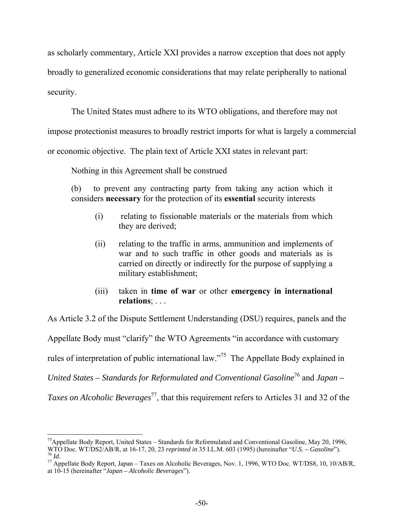as scholarly commentary, Article XXI provides a narrow exception that does not apply

broadly to generalized economic considerations that may relate peripherally to national

security.

The United States must adhere to its WTO obligations, and therefore may not

impose protectionist measures to broadly restrict imports for what is largely a commercial

or economic objective. The plain text of Article XXI states in relevant part:

Nothing in this Agreement shall be construed

(b) to prevent any contracting party from taking any action which it considers **necessary** for the protection of its **essential** security interests

- (i) relating to fissionable materials or the materials from which they are derived;
- (ii) relating to the traffic in arms, ammunition and implements of war and to such traffic in other goods and materials as is carried on directly or indirectly for the purpose of supplying a military establishment;
- (iii) taken in **time of war** or other **emergency in international relations**; . . .

As Article 3.2 of the Dispute Settlement Understanding (DSU) requires, panels and the

Appellate Body must "clarify" the WTO Agreements "in accordance with customary

rules of interpretation of public international law."75 The Appellate Body explained in

*United States – Standards for Reformulated and Conventional Gasoline*76 and *Japan –* 

*Taxes on Alcoholic Beverages*<sup>77</sup>, that this requirement refers to Articles 31 and 32 of the

 $\overline{a}$ <sup>75</sup> Appellate Body Report, United States – Standards for Reformulated and Conventional Gasoline, May 20, 1996, WTO Doc. WT/DS2/AB/R, at 16-17, 20, 23 *reprinted in* 35 I.L.M. 603 (1995) (hereinafter "*U.S.* – *Gasoline*").<br><sup>76</sup> Id.<br><sup>77</sup> Appellate Body Report. Japan – Taxes on Alcoholic Beverages. Nov. 1, 1996. WTO Doc. WT/DS8, 10,

at 10-15 (hereinafter "*Japan – Alcoholic Beverages*").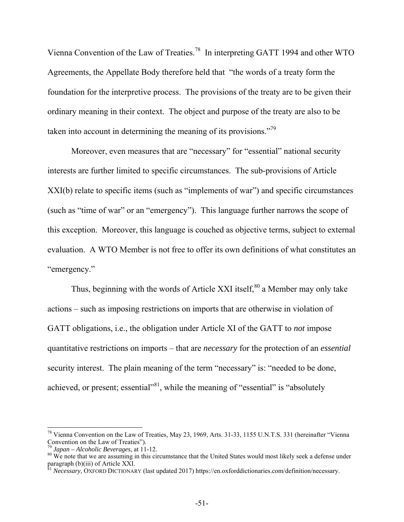Vienna Convention of the Law of Treaties.78 In interpreting GATT 1994 and other WTO Agreements, the Appellate Body therefore held that "the words of a treaty form the foundation for the interpretive process. The provisions of the treaty are to be given their ordinary meaning in their context. The object and purpose of the treaty are also to be taken into account in determining the meaning of its provisions."79

Moreover, even measures that are "necessary" for "essential" national security interests are further limited to specific circumstances. The sub-provisions of Article XXI(b) relate to specific items (such as "implements of war") and specific circumstances (such as "time of war" or an "emergency"). This language further narrows the scope of this exception. Moreover, this language is couched as objective terms, subject to external evaluation. A WTO Member is not free to offer its own definitions of what constitutes an "emergency."

Thus, beginning with the words of Article XXI itself, $80$  a Member may only take actions – such as imposing restrictions on imports that are otherwise in violation of GATT obligations, i.e., the obligation under Article XI of the GATT to *not* impose quantitative restrictions on imports – that are *necessary* for the protection of an *essential*  security interest. The plain meaning of the term "necessary" is: "needed to be done, achieved, or present; essential $\frac{81}{10}$ , while the meaning of "essential" is "absolutely

<sup>&</sup>lt;sup>78</sup> Vienna Convention on the Law of Treaties, May 23, 1969, Arts. 31-33, 1155 U.N.T.S. 331 (hereinafter "Vienna Convention on the Law of Treaties").

<sup>79</sup> *Japan – Alcoholic Beverages*, at 11-12.

 $80$  We note that we are assuming in this circumstance that the United States would most likely seek a defense under paragraph (b)(iii) of Article XXI.

<sup>81</sup> *Necessary*, OXFORD DICTIONARY (last updated 2017) https://en.oxforddictionaries.com/definition/necessary.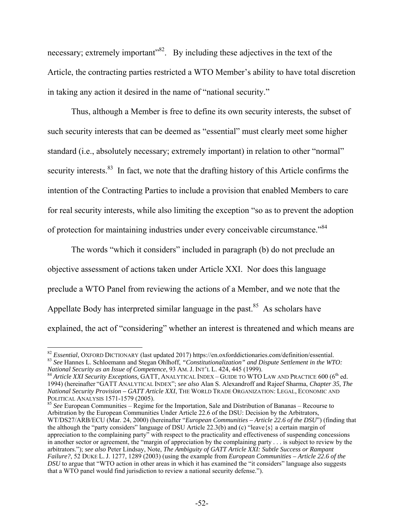necessary; extremely important<sup>382</sup>. By including these adjectives in the text of the Article, the contracting parties restricted a WTO Member's ability to have total discretion in taking any action it desired in the name of "national security."

Thus, although a Member is free to define its own security interests, the subset of such security interests that can be deemed as "essential" must clearly meet some higher standard (i.e., absolutely necessary; extremely important) in relation to other "normal" security interests.<sup>83</sup> In fact, we note that the drafting history of this Article confirms the intention of the Contracting Parties to include a provision that enabled Members to care for real security interests, while also limiting the exception "so as to prevent the adoption of protection for maintaining industries under every conceivable circumstance."84

The words "which it considers" included in paragraph (b) do not preclude an objective assessment of actions taken under Article XXI. Nor does this language preclude a WTO Panel from reviewing the actions of a Member, and we note that the Appellate Body has interpreted similar language in the past.<sup>85</sup> As scholars have explained, the act of "considering" whether an interest is threatened and which means are

<sup>85</sup> See European Communities – Regime for the Importation, Sale and Distribution of Bananas – Recourse to Arbitration by the European Communities Under Article 22.6 of the DSU: Decision by the Arbitrators, WT/DS27/ARB/ECU (Mar. 24, 2000) (hereinafter "*European Communities – Article 22.6 of the DSU*") (finding that the although the "party considers" language of DSU Article 22.3(b) and (c) "leave{s} a certain margin of appreciation to the complaining party" with respect to the practicality and effectiveness of suspending concessions in another sector or agreement, the "margin of appreciation by the complaining party . . . is subject to review by the arbitrators."); *see also* Peter Lindsay, Note, *The Ambiguity of GATT Article XXI: Subtle Success or Rampant Failure?*, 52 DUKE L. J. 1277, 1289 (2003) (using the example from *European Communities – Article 22.6 of the DSU* to argue that "WTO action in other areas in which it has examined the "it considers" language also suggests that a WTO panel would find jurisdiction to review a national security defense.").

<sup>&</sup>lt;sup>82</sup> *Essential*, OXFORD DICTIONARY (last updated 2017) https://en.oxforddictionaries.com/definition/essential. <sup>83</sup> See Hannes L. Schloemann and Stegan Ohlhoff, "Constitutionalization" and Dispute Settlement in the WTO:<br>National Security as an Issue of Competence, 93 AM. J. INT'L L. 424, 445 (1999).

<sup>&</sup>lt;sup>4</sup> Article XXI Security Exceptions, GATT, ANALYTICAL INDEX – GUIDE TO WTO LAW AND PRACTICE 600 (6<sup>th</sup> ed. 1994) (hereinafter "GATT ANALYTICAL INDEX"; *see also* Alan S. Alexandroff and Rajeef Sharma, *Chapter 35, The National Security Provision – GATT Article XXI*, THE WORLD TRADE ORGANIZATION: LEGAL, ECONOMIC AND POLITICAL ANALYSIS 1571-1579 (2005).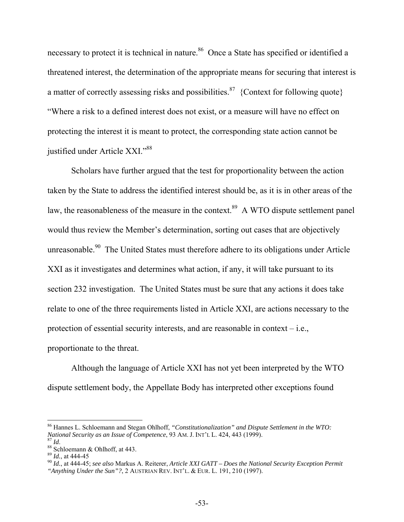necessary to protect it is technical in nature.<sup>86</sup> Once a State has specified or identified a threatened interest, the determination of the appropriate means for securing that interest is a matter of correctly assessing risks and possibilities.<sup>87</sup> {Context for following quote} "Where a risk to a defined interest does not exist, or a measure will have no effect on protecting the interest it is meant to protect, the corresponding state action cannot be justified under Article XXI."88

Scholars have further argued that the test for proportionality between the action taken by the State to address the identified interest should be, as it is in other areas of the law, the reasonableness of the measure in the context.<sup>89</sup> A WTO dispute settlement panel would thus review the Member's determination, sorting out cases that are objectively unreasonable.<sup>90</sup> The United States must therefore adhere to its obligations under Article XXI as it investigates and determines what action, if any, it will take pursuant to its section 232 investigation. The United States must be sure that any actions it does take relate to one of the three requirements listed in Article XXI, are actions necessary to the protection of essential security interests, and are reasonable in context – i.e., proportionate to the threat.

Although the language of Article XXI has not yet been interpreted by the WTO dispute settlement body, the Appellate Body has interpreted other exceptions found

<sup>86</sup> Hannes L. Schloemann and Stegan Ohlhoff, *"Constitutionalization" and Dispute Settlement in the WTO: National Security as an Issue of Competence*, 93 AM. J. INT'L L. 424, 443 (1999).<br><sup>87</sup> *Id.* 88 Schloemann & Ohlhoff, at 443.

<sup>89</sup> *Id.*, at 444-45

<sup>90</sup> *Id.*, at 444-45; *see also* Markus A. Reiterer, *Article XXI GATT – Does the National Security Exception Permit "Anything Under the Sun"?*, 2 AUSTRIAN REV. INT'L. & EUR. L. 191, 210 (1997).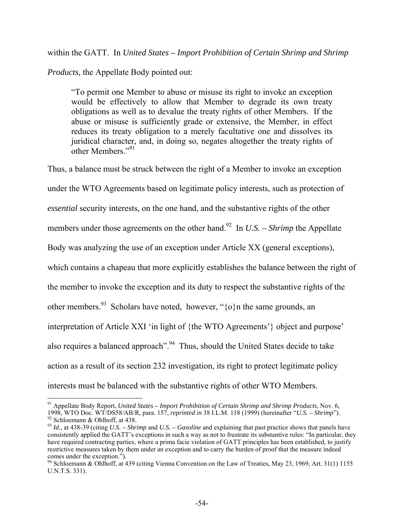within the GATT. In *United States – Import Prohibition of Certain Shrimp and Shrimp* 

*Products,* the Appellate Body pointed out:

"To permit one Member to abuse or misuse its right to invoke an exception would be effectively to allow that Member to degrade its own treaty obligations as well as to devalue the treaty rights of other Members. If the abuse or misuse is sufficiently grade or extensive, the Member, in effect reduces its treaty obligation to a merely facultative one and dissolves its juridical character, and, in doing so, negates altogether the treaty rights of other Members." $91$ 

Thus, a balance must be struck between the right of a Member to invoke an exception under the WTO Agreements based on legitimate policy interests, such as protection of *essential* security interests, on the one hand, and the substantive rights of the other members under those agreements on the other hand.<sup>92</sup> In *U.S. – Shrimp* the Appellate Body was analyzing the use of an exception under Article XX (general exceptions), which contains a chapeau that more explicitly establishes the balance between the right of the member to invoke the exception and its duty to respect the substantive rights of the other members.<sup>93</sup> Scholars have noted, however, " $\{o\}$ n the same grounds, an interpretation of Article XXI 'in light of {the WTO Agreements'} object and purpose' also requires a balanced approach". <sup>94</sup> Thus, should the United States decide to take action as a result of its section 232 investigation, its right to protect legitimate policy interests must be balanced with the substantive rights of other WTO Members.

 $\overline{a}$ 91 Appellate Body Report, *United States – Import Prohibition of Certain Shrimp and Shrimp Products*, Nov. 6, 1998, WTO Doc. WT/DS58/AB/R, para. 157, *reprinted in* 38 I.L.M. 118 (1999) (hereinafter "*U.S. – Shrimp*"). 92 Schloemann & Ohlhoff, at 438.

<sup>93</sup> *Id.*, at 438-39 (citing *U.S. – Shrimp* and *U.S. – Gasoline* and explaining that past practice shows that panels have consistently applied the GATT's exceptions in such a way as not to frustrate its substantive rules: "In particular, they have required contracting parties, where a prima facie violation of GATT principles has been established, to justify restrictive measures taken by them under an exception and to carry the burden of proof that the measure indeed comes under the exception.").

<sup>&</sup>lt;sup>94</sup> Schloemann & Ohlhoff, at 439 (citing Vienna Convention on the Law of Treaties, May 23, 1969, Art. 31(1) 1155 U.N.T.S. 331).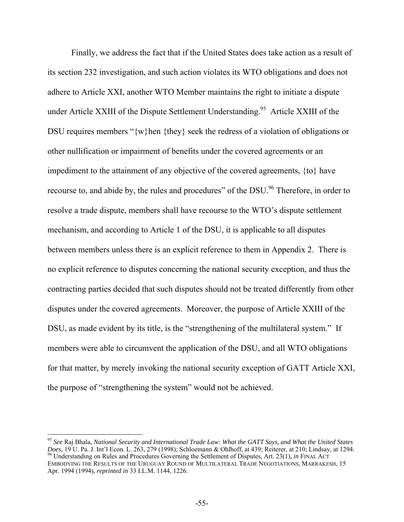Finally, we address the fact that if the United States does take action as a result of its section 232 investigation, and such action violates its WTO obligations and does not adhere to Article XXI, another WTO Member maintains the right to initiate a dispute under Article XXIII of the Dispute Settlement Understanding.<sup>95</sup> Article XXIII of the DSU requires members "{w}hen {they} seek the redress of a violation of obligations or other nullification or impairment of benefits under the covered agreements or an impediment to the attainment of any objective of the covered agreements, {to} have recourse to, and abide by, the rules and procedures" of the DSU.<sup>96</sup> Therefore, in order to resolve a trade dispute, members shall have recourse to the WTO's dispute settlement mechanism, and according to Article 1 of the DSU, it is applicable to all disputes between members unless there is an explicit reference to them in Appendix 2. There is no explicit reference to disputes concerning the national security exception, and thus the contracting parties decided that such disputes should not be treated differently from other disputes under the covered agreements. Moreover, the purpose of Article XXIII of the DSU, as made evident by its title, is the "strengthening of the multilateral system." If members were able to circumvent the application of the DSU, and all WTO obligations for that matter, by merely invoking the national security exception of GATT Article XXI, the purpose of "strengthening the system" would not be achieved.

<sup>95</sup> *See* Raj Bhala, *National Security and International Trade Law: What the GATT Says, and What the United States*  Does, 19 U. Pa. J. Int'l Econ. L. 263, 279 (1998); Schloemann & Ohlhoff, at 439; Reiterer, at 210; Lindsay, at 1294.<br><sup>96</sup> Understanding on Rules and Procedures Governing the Settlement of Disputes, Art. 23(1), *in* FINAL A EMBODYING THE RESULTS OF THE URUGUAY ROUND OF MULTILATERAL TRADE NEGOTIATIONS, MARRAKESH, 15 Apr. 1994 (1994), *reprinted in* 33 I.L.M. 1144, 1226.